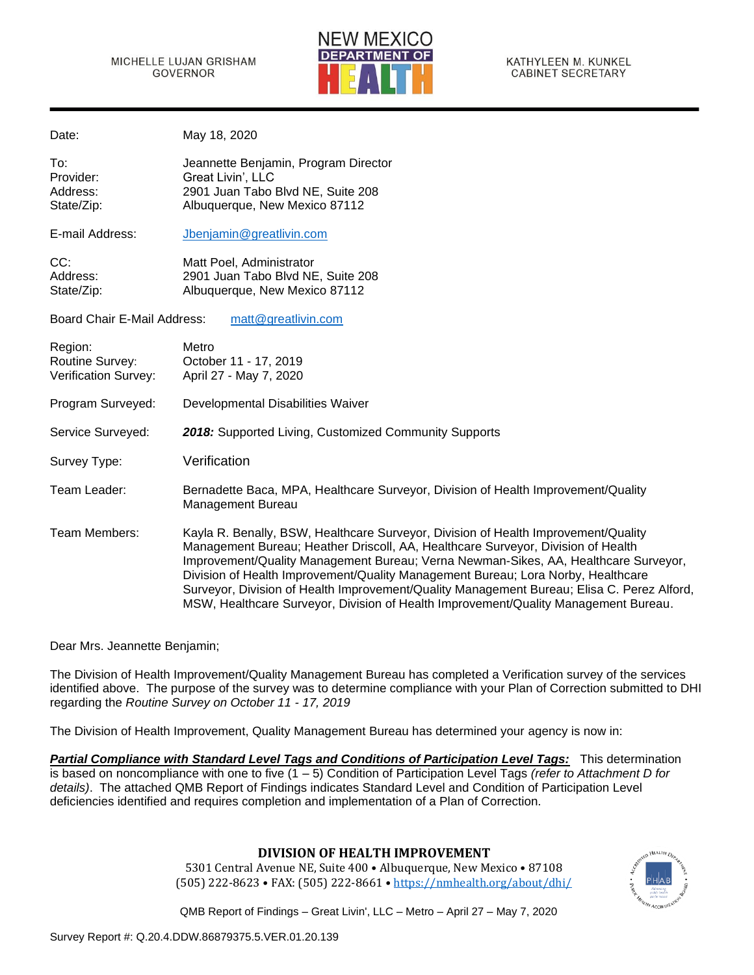

KATHYLEEN M. KUNKEL CABINET SECRETARY

| Date:                                                     | May 18, 2020                                                                                                                                                                                                                                                                                                                                                                                                                                                                                                                           |
|-----------------------------------------------------------|----------------------------------------------------------------------------------------------------------------------------------------------------------------------------------------------------------------------------------------------------------------------------------------------------------------------------------------------------------------------------------------------------------------------------------------------------------------------------------------------------------------------------------------|
| To:<br>Provider:<br>Address:<br>State/Zip:                | Jeannette Benjamin, Program Director<br>Great Livin', LLC<br>2901 Juan Tabo Blvd NE, Suite 208<br>Albuquerque, New Mexico 87112                                                                                                                                                                                                                                                                                                                                                                                                        |
| E-mail Address:                                           | Jbenjamin@greatlivin.com                                                                                                                                                                                                                                                                                                                                                                                                                                                                                                               |
| CC:<br>Address:<br>State/Zip:                             | Matt Poel, Administrator<br>2901 Juan Tabo Blvd NE, Suite 208<br>Albuquerque, New Mexico 87112                                                                                                                                                                                                                                                                                                                                                                                                                                         |
| <b>Board Chair E-Mail Address:</b>                        | matt@greatlivin.com                                                                                                                                                                                                                                                                                                                                                                                                                                                                                                                    |
| Region:<br><b>Routine Survey:</b><br>Verification Survey: | Metro<br>October 11 - 17, 2019<br>April 27 - May 7, 2020                                                                                                                                                                                                                                                                                                                                                                                                                                                                               |
| Program Surveyed:                                         | Developmental Disabilities Waiver                                                                                                                                                                                                                                                                                                                                                                                                                                                                                                      |
| Service Surveyed:                                         | 2018: Supported Living, Customized Community Supports                                                                                                                                                                                                                                                                                                                                                                                                                                                                                  |
| Survey Type:                                              | Verification                                                                                                                                                                                                                                                                                                                                                                                                                                                                                                                           |
| Team Leader:                                              | Bernadette Baca, MPA, Healthcare Surveyor, Division of Health Improvement/Quality<br><b>Management Bureau</b>                                                                                                                                                                                                                                                                                                                                                                                                                          |
| Team Members:                                             | Kayla R. Benally, BSW, Healthcare Surveyor, Division of Health Improvement/Quality<br>Management Bureau; Heather Driscoll, AA, Healthcare Surveyor, Division of Health<br>Improvement/Quality Management Bureau; Verna Newman-Sikes, AA, Healthcare Surveyor,<br>Division of Health Improvement/Quality Management Bureau; Lora Norby, Healthcare<br>Surveyor, Division of Health Improvement/Quality Management Bureau; Elisa C. Perez Alford,<br>MSW, Healthcare Surveyor, Division of Health Improvement/Quality Management Bureau. |

Dear Mrs. Jeannette Benjamin;

The Division of Health Improvement/Quality Management Bureau has completed a Verification survey of the services identified above. The purpose of the survey was to determine compliance with your Plan of Correction submitted to DHI regarding the *Routine Survey on October 11 - 17, 2019*

The Division of Health Improvement, Quality Management Bureau has determined your agency is now in:

*Partial Compliance with Standard Level Tags and Conditions of Participation Level Tags:* This determination is based on noncompliance with one to five (1 – 5) Condition of Participation Level Tags *(refer to Attachment D for details)*. The attached QMB Report of Findings indicates Standard Level and Condition of Participation Level deficiencies identified and requires completion and implementation of a Plan of Correction.

# **DIVISION OF HEALTH IMPROVEMENT**

5301 Central Avenue NE, Suite 400 • Albuquerque, New Mexico • 87108 (505) 222-8623 • FAX: (505) 222-8661 • <https://nmhealth.org/about/dhi/>

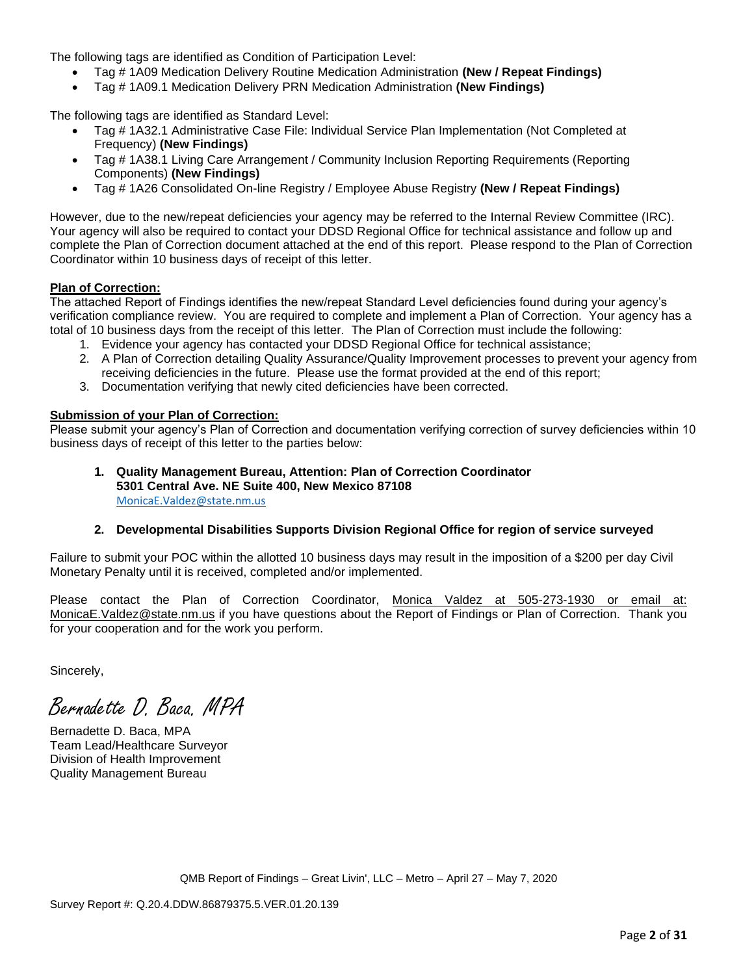The following tags are identified as Condition of Participation Level:

- Tag # 1A09 Medication Delivery Routine Medication Administration **(New / Repeat Findings)**
- Tag # 1A09.1 Medication Delivery PRN Medication Administration **(New Findings)**

The following tags are identified as Standard Level:

- Tag # 1A32.1 Administrative Case File: Individual Service Plan Implementation (Not Completed at Frequency) **(New Findings)**
- Tag # 1A38.1 Living Care Arrangement / Community Inclusion Reporting Requirements (Reporting Components) **(New Findings)**
- Tag # 1A26 Consolidated On-line Registry / Employee Abuse Registry **(New / Repeat Findings)**

However, due to the new/repeat deficiencies your agency may be referred to the Internal Review Committee (IRC). Your agency will also be required to contact your DDSD Regional Office for technical assistance and follow up and complete the Plan of Correction document attached at the end of this report. Please respond to the Plan of Correction Coordinator within 10 business days of receipt of this letter.

#### **Plan of Correction:**

The attached Report of Findings identifies the new/repeat Standard Level deficiencies found during your agency's verification compliance review. You are required to complete and implement a Plan of Correction. Your agency has a total of 10 business days from the receipt of this letter. The Plan of Correction must include the following:

- 1. Evidence your agency has contacted your DDSD Regional Office for technical assistance;
- 2. A Plan of Correction detailing Quality Assurance/Quality Improvement processes to prevent your agency from receiving deficiencies in the future. Please use the format provided at the end of this report;
- 3. Documentation verifying that newly cited deficiencies have been corrected.

#### **Submission of your Plan of Correction:**

Please submit your agency's Plan of Correction and documentation verifying correction of survey deficiencies within 10 business days of receipt of this letter to the parties below:

**1. Quality Management Bureau, Attention: Plan of Correction Coordinator 5301 Central Ave. NE Suite 400, New Mexico 87108** [MonicaE.Valdez@state.nm.us](mailto:MonicaE.Valdez@state.nm.us)

# **2. Developmental Disabilities Supports Division Regional Office for region of service surveyed**

Failure to submit your POC within the allotted 10 business days may result in the imposition of a \$200 per day Civil Monetary Penalty until it is received, completed and/or implemented.

Please contact the Plan of Correction Coordinator, Monica Valdez at 505-273-1930 or email at: [MonicaE.Valdez@state.nm.us](mailto:MonicaE.Valdez@state.nm.us) if you have questions about the Report of Findings or Plan of Correction. Thank you for your cooperation and for the work you perform.

Sincerely,

Bernadette D. Baca. MPA

Bernadette D. Baca, MPA Team Lead/Healthcare Surveyor Division of Health Improvement Quality Management Bureau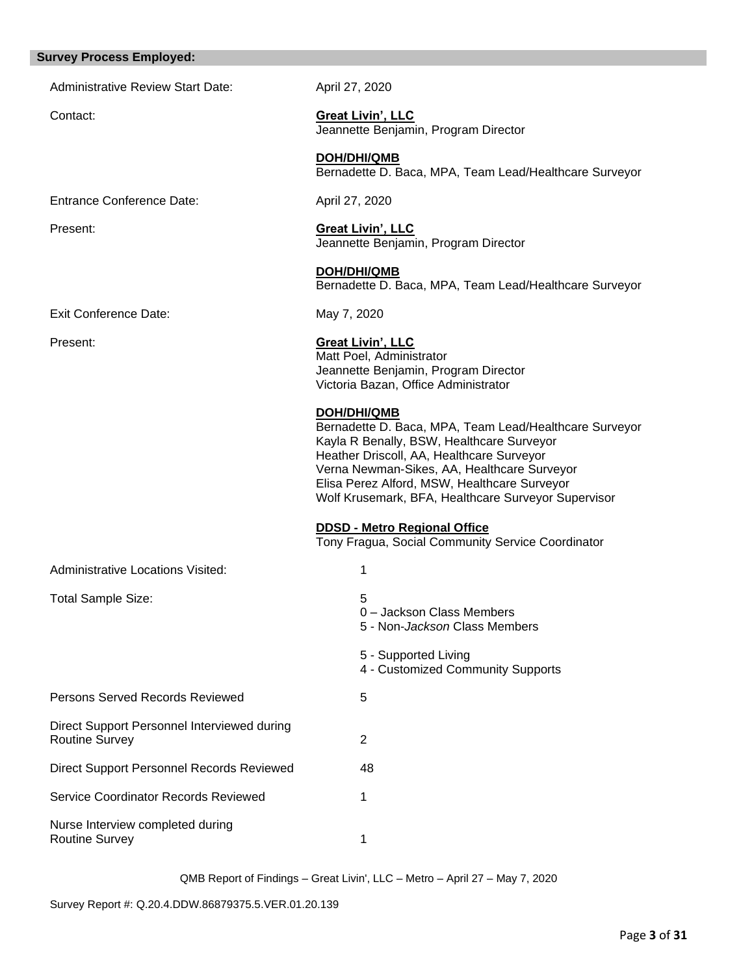#### **Survey Process Employed:**

Administrative Review Start Date: April 27, 2020

Contact: **Great Livin', LLC** Jeannette Benjamin, Program Director

> **DOH/DHI/QMB** Bernadette D. Baca, MPA, Team Lead/Healthcare Surveyor

Entrance Conference Date: April 27, 2020

Present: **Great Livin', LLC** Jeannette Benjamin, Program Director

> **DOH/DHI/QMB** Bernadette D. Baca, MPA, Team Lead/Healthcare Surveyor

Exit Conference Date: May 7, 2020

# Present: **Great Livin', LLC**

Matt Poel, Administrator Jeannette Benjamin, Program Director Victoria Bazan, Office Administrator

# **DOH/DHI/QMB**

Bernadette D. Baca, MPA, Team Lead/Healthcare Surveyor Kayla R Benally, BSW, Healthcare Surveyor Heather Driscoll, AA, Healthcare Surveyor Verna Newman-Sikes, AA, Healthcare Surveyor Elisa Perez Alford, MSW, Healthcare Surveyor Wolf Krusemark, BFA, Healthcare Surveyor Supervisor

**DDSD - Metro Regional Office** 

Tony Fragua, Social Community Service Coordinator

| <b>Administrative Locations Visited:</b> |  |
|------------------------------------------|--|
|                                          |  |

| <b>Total Sample Size:</b> |  |
|---------------------------|--|
|                           |  |

**Persons Served Records Reviewed 5** Direct Support Personnel Interviewed during Routine Survey 2

Direct Support Personnel Records Reviewed 48 Service Coordinator Records Reviewed 1

Nurse Interview completed during Routine Survey 1

0 – Jackson Class Members

5 - Non-*Jackson* Class Members

5 - Supported Living

4 - Customized Community Supports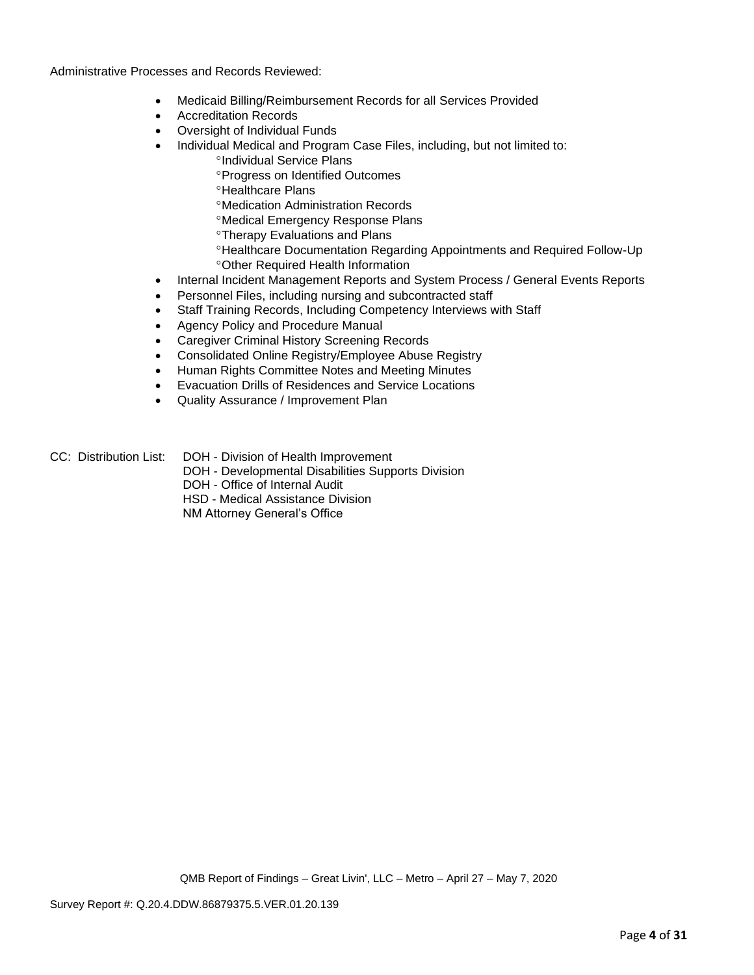Administrative Processes and Records Reviewed:

- Medicaid Billing/Reimbursement Records for all Services Provided
- Accreditation Records
- Oversight of Individual Funds
- Individual Medical and Program Case Files, including, but not limited to:
	- <sup>o</sup>Individual Service Plans
	- Progress on Identified Outcomes
	- **<sup>o</sup>Healthcare Plans**
	- Medication Administration Records
	- Medical Emergency Response Plans
	- Therapy Evaluations and Plans
	- Healthcare Documentation Regarding Appointments and Required Follow-Up Other Required Health Information
- Internal Incident Management Reports and System Process / General Events Reports
- Personnel Files, including nursing and subcontracted staff
- Staff Training Records, Including Competency Interviews with Staff
- Agency Policy and Procedure Manual
- Caregiver Criminal History Screening Records
- Consolidated Online Registry/Employee Abuse Registry
- Human Rights Committee Notes and Meeting Minutes
- Evacuation Drills of Residences and Service Locations
- Quality Assurance / Improvement Plan
- CC: Distribution List: DOH Division of Health Improvement
	- DOH Developmental Disabilities Supports Division
	- DOH Office of Internal Audit

HSD - Medical Assistance Division

NM Attorney General's Office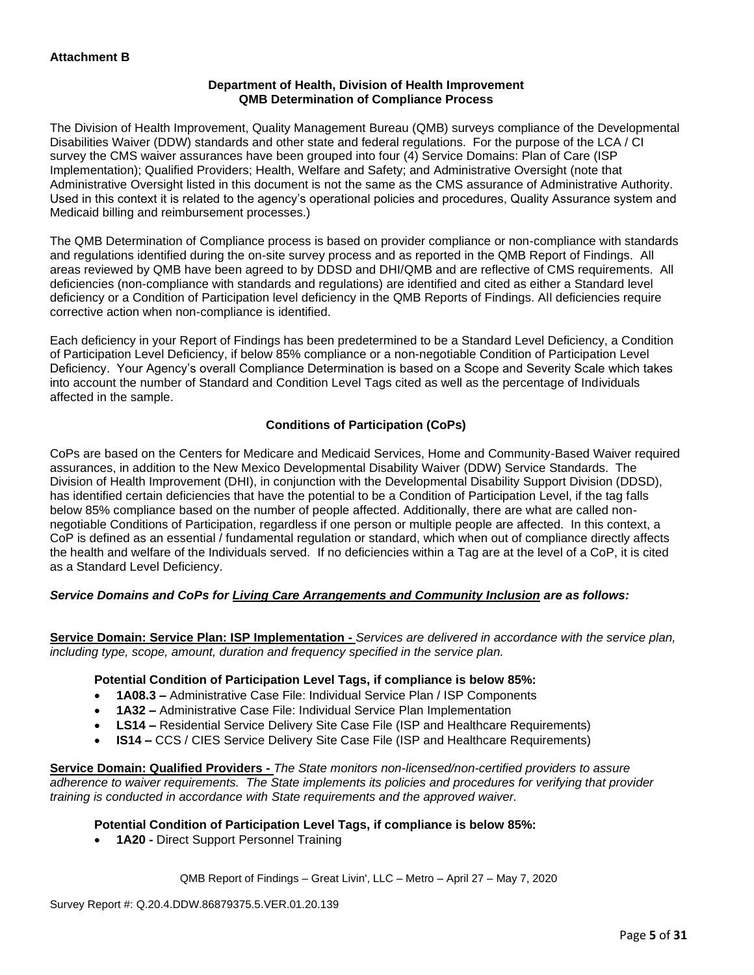# **Department of Health, Division of Health Improvement QMB Determination of Compliance Process**

The Division of Health Improvement, Quality Management Bureau (QMB) surveys compliance of the Developmental Disabilities Waiver (DDW) standards and other state and federal regulations. For the purpose of the LCA / CI survey the CMS waiver assurances have been grouped into four (4) Service Domains: Plan of Care (ISP Implementation); Qualified Providers; Health, Welfare and Safety; and Administrative Oversight (note that Administrative Oversight listed in this document is not the same as the CMS assurance of Administrative Authority. Used in this context it is related to the agency's operational policies and procedures, Quality Assurance system and Medicaid billing and reimbursement processes.)

The QMB Determination of Compliance process is based on provider compliance or non-compliance with standards and regulations identified during the on-site survey process and as reported in the QMB Report of Findings. All areas reviewed by QMB have been agreed to by DDSD and DHI/QMB and are reflective of CMS requirements. All deficiencies (non-compliance with standards and regulations) are identified and cited as either a Standard level deficiency or a Condition of Participation level deficiency in the QMB Reports of Findings. All deficiencies require corrective action when non-compliance is identified.

Each deficiency in your Report of Findings has been predetermined to be a Standard Level Deficiency, a Condition of Participation Level Deficiency, if below 85% compliance or a non-negotiable Condition of Participation Level Deficiency. Your Agency's overall Compliance Determination is based on a Scope and Severity Scale which takes into account the number of Standard and Condition Level Tags cited as well as the percentage of Individuals affected in the sample.

# **Conditions of Participation (CoPs)**

CoPs are based on the Centers for Medicare and Medicaid Services, Home and Community-Based Waiver required assurances, in addition to the New Mexico Developmental Disability Waiver (DDW) Service Standards. The Division of Health Improvement (DHI), in conjunction with the Developmental Disability Support Division (DDSD), has identified certain deficiencies that have the potential to be a Condition of Participation Level, if the tag falls below 85% compliance based on the number of people affected. Additionally, there are what are called nonnegotiable Conditions of Participation, regardless if one person or multiple people are affected. In this context, a CoP is defined as an essential / fundamental regulation or standard, which when out of compliance directly affects the health and welfare of the Individuals served. If no deficiencies within a Tag are at the level of a CoP, it is cited as a Standard Level Deficiency.

# *Service Domains and CoPs for Living Care Arrangements and Community Inclusion are as follows:*

**Service Domain: Service Plan: ISP Implementation -** *Services are delivered in accordance with the service plan, including type, scope, amount, duration and frequency specified in the service plan.*

#### **Potential Condition of Participation Level Tags, if compliance is below 85%:**

- **1A08.3 –** Administrative Case File: Individual Service Plan / ISP Components
- **1A32 –** Administrative Case File: Individual Service Plan Implementation
- **LS14 –** Residential Service Delivery Site Case File (ISP and Healthcare Requirements)
- **IS14 –** CCS / CIES Service Delivery Site Case File (ISP and Healthcare Requirements)

**Service Domain: Qualified Providers -** *The State monitors non-licensed/non-certified providers to assure adherence to waiver requirements. The State implements its policies and procedures for verifying that provider training is conducted in accordance with State requirements and the approved waiver.*

#### **Potential Condition of Participation Level Tags, if compliance is below 85%:**

• **1A20 -** Direct Support Personnel Training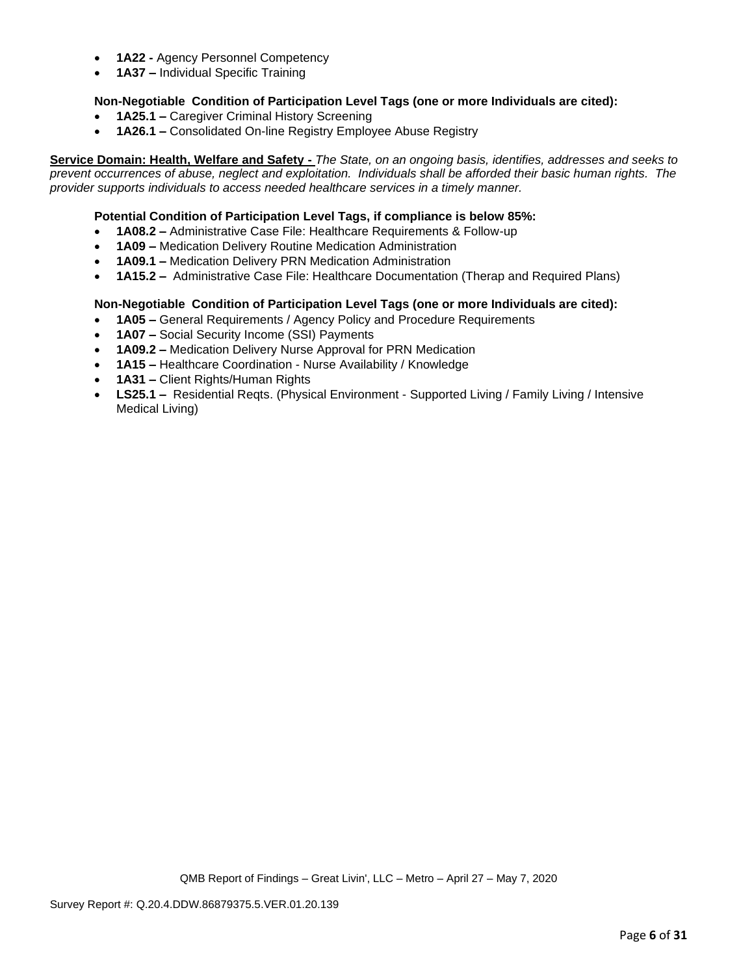- **1A22 -** Agency Personnel Competency
- **1A37 –** Individual Specific Training

# **Non-Negotiable Condition of Participation Level Tags (one or more Individuals are cited):**

- **1A25.1 –** Caregiver Criminal History Screening
- **1A26.1 –** Consolidated On-line Registry Employee Abuse Registry

**Service Domain: Health, Welfare and Safety -** *The State, on an ongoing basis, identifies, addresses and seeks to prevent occurrences of abuse, neglect and exploitation. Individuals shall be afforded their basic human rights. The provider supports individuals to access needed healthcare services in a timely manner.*

### **Potential Condition of Participation Level Tags, if compliance is below 85%:**

- **1A08.2 –** Administrative Case File: Healthcare Requirements & Follow-up
- **1A09 –** Medication Delivery Routine Medication Administration
- **1A09.1 –** Medication Delivery PRN Medication Administration
- **1A15.2 –** Administrative Case File: Healthcare Documentation (Therap and Required Plans)

# **Non-Negotiable Condition of Participation Level Tags (one or more Individuals are cited):**

- **1A05 –** General Requirements / Agency Policy and Procedure Requirements
- **1A07 –** Social Security Income (SSI) Payments
- **1A09.2 –** Medication Delivery Nurse Approval for PRN Medication
- **1A15 –** Healthcare Coordination Nurse Availability / Knowledge
- **1A31 –** Client Rights/Human Rights
- **LS25.1 –** Residential Reqts. (Physical Environment Supported Living / Family Living / Intensive Medical Living)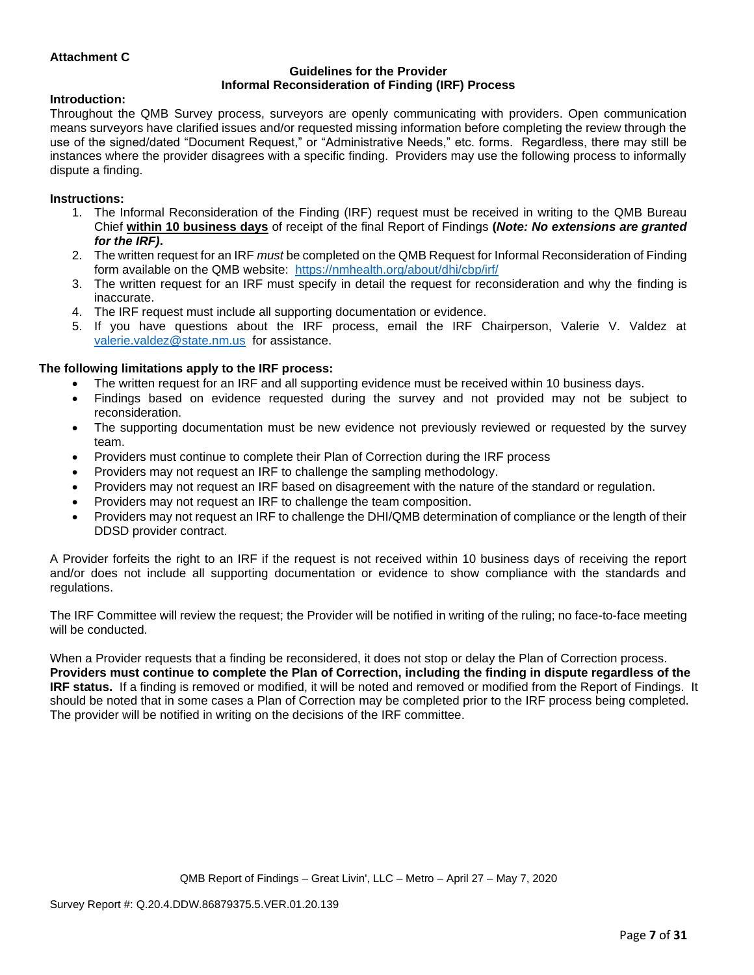# **Attachment C**

#### **Guidelines for the Provider Informal Reconsideration of Finding (IRF) Process**

#### **Introduction:**

Throughout the QMB Survey process, surveyors are openly communicating with providers. Open communication means surveyors have clarified issues and/or requested missing information before completing the review through the use of the signed/dated "Document Request," or "Administrative Needs," etc. forms. Regardless, there may still be instances where the provider disagrees with a specific finding. Providers may use the following process to informally dispute a finding.

#### **Instructions:**

- 1. The Informal Reconsideration of the Finding (IRF) request must be received in writing to the QMB Bureau Chief **within 10 business days** of receipt of the final Report of Findings **(***Note: No extensions are granted for the IRF)***.**
- 2. The written request for an IRF *must* be completed on the QMB Request for Informal Reconsideration of Finding form available on the QMB website: <https://nmhealth.org/about/dhi/cbp/irf/>
- 3. The written request for an IRF must specify in detail the request for reconsideration and why the finding is inaccurate.
- 4. The IRF request must include all supporting documentation or evidence.
- 5. If you have questions about the IRF process, email the IRF Chairperson, Valerie V. Valdez at [valerie.valdez@state.nm.us](mailto:valerie.valdez@state.nm.us) for assistance.

#### **The following limitations apply to the IRF process:**

- The written request for an IRF and all supporting evidence must be received within 10 business days.
- Findings based on evidence requested during the survey and not provided may not be subject to reconsideration.
- The supporting documentation must be new evidence not previously reviewed or requested by the survey team.
- Providers must continue to complete their Plan of Correction during the IRF process
- Providers may not request an IRF to challenge the sampling methodology.
- Providers may not request an IRF based on disagreement with the nature of the standard or regulation.
- Providers may not request an IRF to challenge the team composition.
- Providers may not request an IRF to challenge the DHI/QMB determination of compliance or the length of their DDSD provider contract.

A Provider forfeits the right to an IRF if the request is not received within 10 business days of receiving the report and/or does not include all supporting documentation or evidence to show compliance with the standards and regulations.

The IRF Committee will review the request; the Provider will be notified in writing of the ruling; no face-to-face meeting will be conducted.

When a Provider requests that a finding be reconsidered, it does not stop or delay the Plan of Correction process. **Providers must continue to complete the Plan of Correction, including the finding in dispute regardless of the IRF status.** If a finding is removed or modified, it will be noted and removed or modified from the Report of Findings. It should be noted that in some cases a Plan of Correction may be completed prior to the IRF process being completed. The provider will be notified in writing on the decisions of the IRF committee.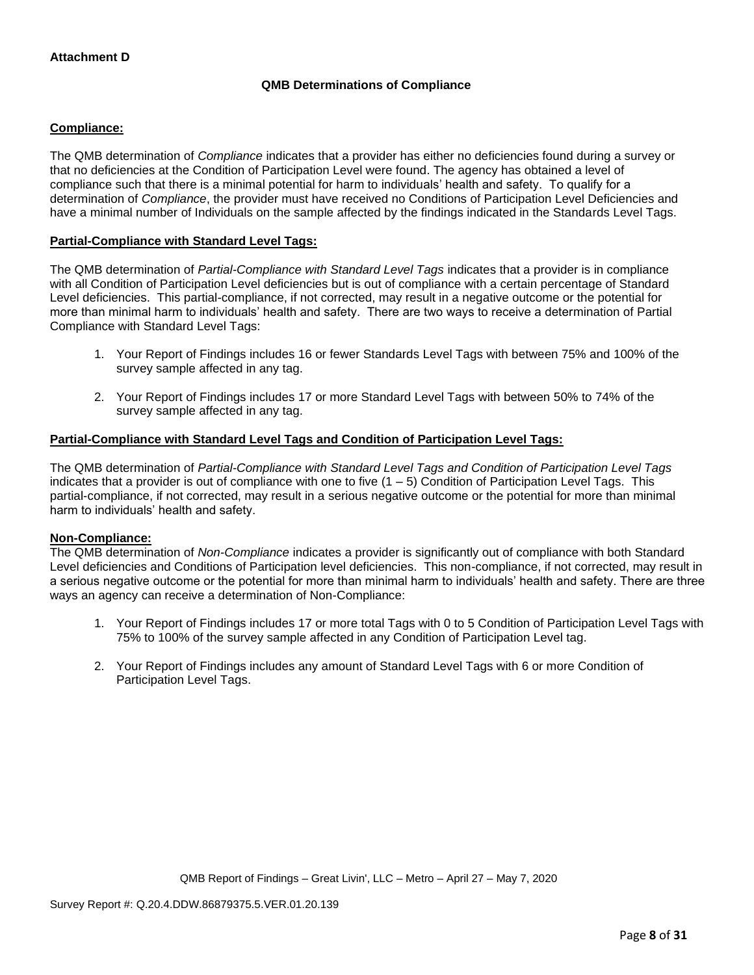# **QMB Determinations of Compliance**

# **Compliance:**

The QMB determination of *Compliance* indicates that a provider has either no deficiencies found during a survey or that no deficiencies at the Condition of Participation Level were found. The agency has obtained a level of compliance such that there is a minimal potential for harm to individuals' health and safety. To qualify for a determination of *Compliance*, the provider must have received no Conditions of Participation Level Deficiencies and have a minimal number of Individuals on the sample affected by the findings indicated in the Standards Level Tags.

## **Partial-Compliance with Standard Level Tags:**

The QMB determination of *Partial-Compliance with Standard Level Tags* indicates that a provider is in compliance with all Condition of Participation Level deficiencies but is out of compliance with a certain percentage of Standard Level deficiencies. This partial-compliance, if not corrected, may result in a negative outcome or the potential for more than minimal harm to individuals' health and safety. There are two ways to receive a determination of Partial Compliance with Standard Level Tags:

- 1. Your Report of Findings includes 16 or fewer Standards Level Tags with between 75% and 100% of the survey sample affected in any tag.
- 2. Your Report of Findings includes 17 or more Standard Level Tags with between 50% to 74% of the survey sample affected in any tag.

# **Partial-Compliance with Standard Level Tags and Condition of Participation Level Tags:**

The QMB determination of *Partial-Compliance with Standard Level Tags and Condition of Participation Level Tags*  indicates that a provider is out of compliance with one to five  $(1 - 5)$  Condition of Participation Level Tags. This partial-compliance, if not corrected, may result in a serious negative outcome or the potential for more than minimal harm to individuals' health and safety.

#### **Non-Compliance:**

The QMB determination of *Non-Compliance* indicates a provider is significantly out of compliance with both Standard Level deficiencies and Conditions of Participation level deficiencies. This non-compliance, if not corrected, may result in a serious negative outcome or the potential for more than minimal harm to individuals' health and safety. There are three ways an agency can receive a determination of Non-Compliance:

- 1. Your Report of Findings includes 17 or more total Tags with 0 to 5 Condition of Participation Level Tags with 75% to 100% of the survey sample affected in any Condition of Participation Level tag.
- 2. Your Report of Findings includes any amount of Standard Level Tags with 6 or more Condition of Participation Level Tags.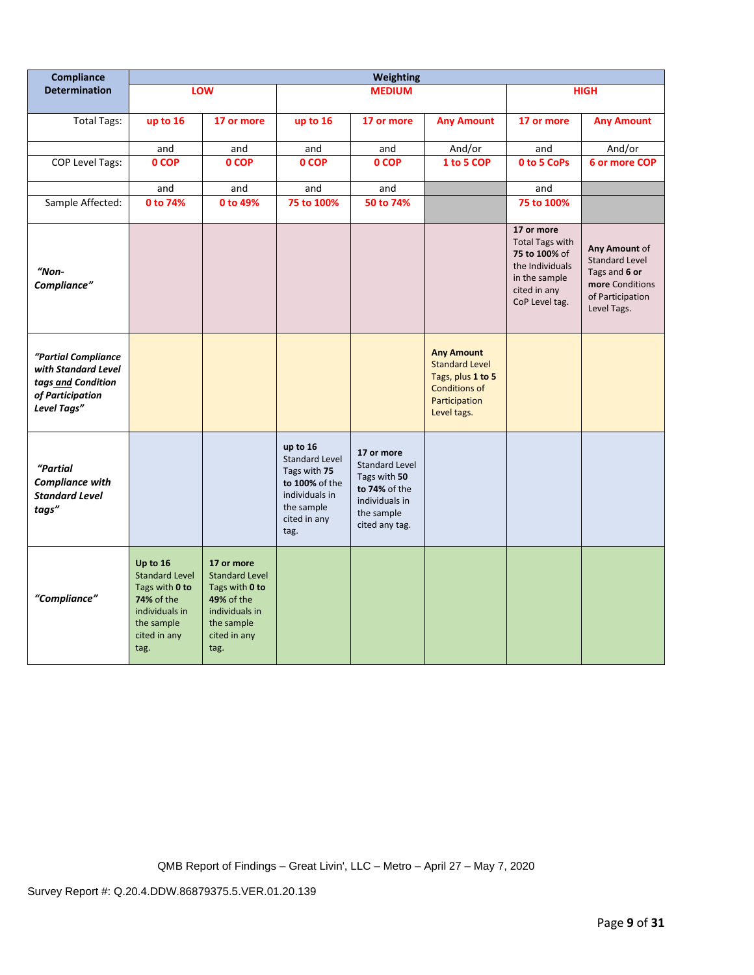| Compliance                                                                                          | <b>Weighting</b>                                                                                                                 |                                                                                                                                    |                                                                                                                             |                                                                                                                        |                                                                                                                         |                                                                                                                             |                                                                                                               |
|-----------------------------------------------------------------------------------------------------|----------------------------------------------------------------------------------------------------------------------------------|------------------------------------------------------------------------------------------------------------------------------------|-----------------------------------------------------------------------------------------------------------------------------|------------------------------------------------------------------------------------------------------------------------|-------------------------------------------------------------------------------------------------------------------------|-----------------------------------------------------------------------------------------------------------------------------|---------------------------------------------------------------------------------------------------------------|
| <b>Determination</b>                                                                                |                                                                                                                                  | <b>LOW</b>                                                                                                                         |                                                                                                                             | <b>MEDIUM</b>                                                                                                          |                                                                                                                         |                                                                                                                             | <b>HIGH</b>                                                                                                   |
| <b>Total Tags:</b>                                                                                  | up to 16                                                                                                                         | 17 or more                                                                                                                         | up to 16                                                                                                                    | 17 or more                                                                                                             | <b>Any Amount</b>                                                                                                       | 17 or more                                                                                                                  | <b>Any Amount</b>                                                                                             |
|                                                                                                     | and                                                                                                                              | and                                                                                                                                | and                                                                                                                         | and                                                                                                                    | And/or                                                                                                                  | and                                                                                                                         | And/or                                                                                                        |
| COP Level Tags:                                                                                     | 0 COP                                                                                                                            | 0 COP                                                                                                                              | 0 COP                                                                                                                       | 0 COP                                                                                                                  | 1 to 5 COP                                                                                                              | 0 to 5 CoPs                                                                                                                 | <b>6 or more COP</b>                                                                                          |
|                                                                                                     | and                                                                                                                              | and                                                                                                                                | and                                                                                                                         | and                                                                                                                    |                                                                                                                         | and                                                                                                                         |                                                                                                               |
| Sample Affected:                                                                                    | 0 to 74%                                                                                                                         | 0 to 49%                                                                                                                           | 75 to 100%                                                                                                                  | 50 to 74%                                                                                                              |                                                                                                                         | 75 to 100%                                                                                                                  |                                                                                                               |
| $"Non-$<br>Compliance"                                                                              |                                                                                                                                  |                                                                                                                                    |                                                                                                                             |                                                                                                                        |                                                                                                                         | 17 or more<br><b>Total Tags with</b><br>75 to 100% of<br>the Individuals<br>in the sample<br>cited in any<br>CoP Level tag. | Any Amount of<br><b>Standard Level</b><br>Tags and 6 or<br>more Conditions<br>of Participation<br>Level Tags. |
| "Partial Compliance<br>with Standard Level<br>tags and Condition<br>of Participation<br>Level Tags" |                                                                                                                                  |                                                                                                                                    |                                                                                                                             |                                                                                                                        | <b>Any Amount</b><br><b>Standard Level</b><br>Tags, plus 1 to 5<br><b>Conditions of</b><br>Participation<br>Level tags. |                                                                                                                             |                                                                                                               |
| "Partial<br><b>Compliance with</b><br><b>Standard Level</b><br>tags"                                |                                                                                                                                  |                                                                                                                                    | up to 16<br><b>Standard Level</b><br>Tags with 75<br>to 100% of the<br>individuals in<br>the sample<br>cited in any<br>tag. | 17 or more<br><b>Standard Level</b><br>Tags with 50<br>to 74% of the<br>individuals in<br>the sample<br>cited any tag. |                                                                                                                         |                                                                                                                             |                                                                                                               |
| "Compliance"                                                                                        | Up to 16<br><b>Standard Level</b><br>Tags with 0 to<br><b>74% of the</b><br>individuals in<br>the sample<br>cited in any<br>tag. | 17 or more<br><b>Standard Level</b><br>Tags with 0 to<br><b>49% of the</b><br>individuals in<br>the sample<br>cited in any<br>tag. |                                                                                                                             |                                                                                                                        |                                                                                                                         |                                                                                                                             |                                                                                                               |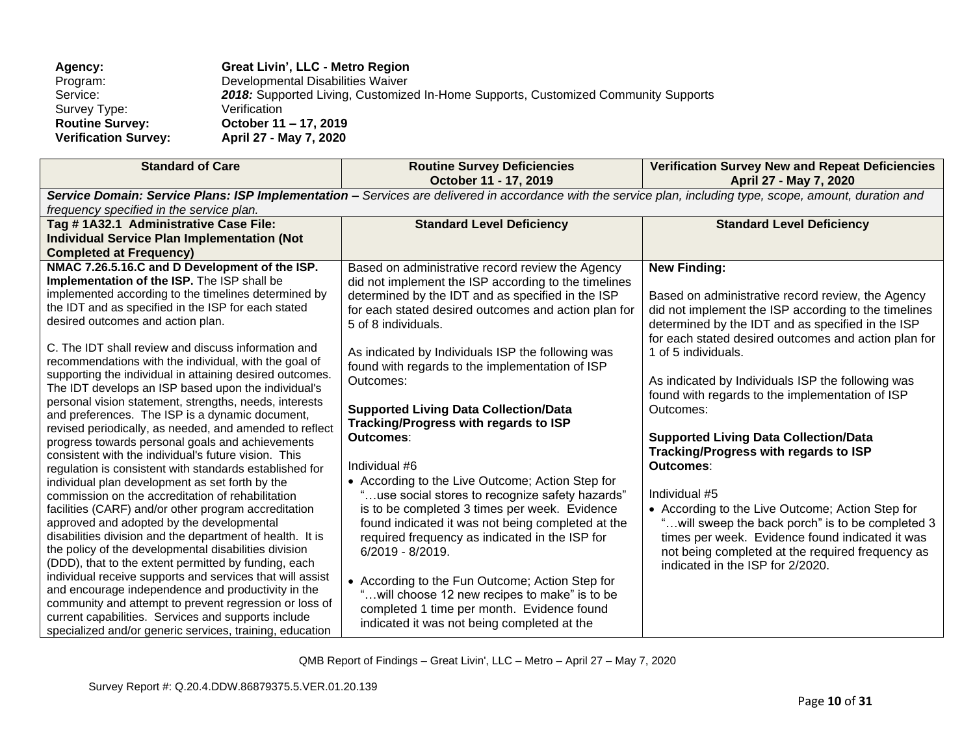| Agency:                     | Great Livin', LLC - Metro Region                                                   |
|-----------------------------|------------------------------------------------------------------------------------|
| Program:                    | Developmental Disabilities Waiver                                                  |
| Service:                    | 2018: Supported Living, Customized In-Home Supports, Customized Community Supports |
| Survey Type:                | Verification                                                                       |
| <b>Routine Survey:</b>      | October 11 – 17, 2019                                                              |
| <b>Verification Survey:</b> | April 27 - May 7, 2020                                                             |

| <b>Standard of Care</b>                                                                                                                                                                                                                                                                                                                                                                                                                                                                                                                                                                                                                                                                                                                                                                                                                                                                                                                                                                                                                                                                                                                                                                                                                                                                                                                                                                                                                                                                                                        | <b>Routine Survey Deficiencies</b><br>October 11 - 17, 2019                                                                                                                                                                                                                                                                                                                                                                                                                                                                                                                                                                                                                                                                                                                                                                                                                                                                                                                    | <b>Verification Survey New and Repeat Deficiencies</b><br>April 27 - May 7, 2020                                                                                                                                                                                                                                                                                                                                                                                                                                                                                                                                                                                                                                                                                            |  |  |
|--------------------------------------------------------------------------------------------------------------------------------------------------------------------------------------------------------------------------------------------------------------------------------------------------------------------------------------------------------------------------------------------------------------------------------------------------------------------------------------------------------------------------------------------------------------------------------------------------------------------------------------------------------------------------------------------------------------------------------------------------------------------------------------------------------------------------------------------------------------------------------------------------------------------------------------------------------------------------------------------------------------------------------------------------------------------------------------------------------------------------------------------------------------------------------------------------------------------------------------------------------------------------------------------------------------------------------------------------------------------------------------------------------------------------------------------------------------------------------------------------------------------------------|--------------------------------------------------------------------------------------------------------------------------------------------------------------------------------------------------------------------------------------------------------------------------------------------------------------------------------------------------------------------------------------------------------------------------------------------------------------------------------------------------------------------------------------------------------------------------------------------------------------------------------------------------------------------------------------------------------------------------------------------------------------------------------------------------------------------------------------------------------------------------------------------------------------------------------------------------------------------------------|-----------------------------------------------------------------------------------------------------------------------------------------------------------------------------------------------------------------------------------------------------------------------------------------------------------------------------------------------------------------------------------------------------------------------------------------------------------------------------------------------------------------------------------------------------------------------------------------------------------------------------------------------------------------------------------------------------------------------------------------------------------------------------|--|--|
| Service Domain: Service Plans: ISP Implementation - Services are delivered in accordance with the service plan, including type, scope, amount, duration and<br>frequency specified in the service plan.                                                                                                                                                                                                                                                                                                                                                                                                                                                                                                                                                                                                                                                                                                                                                                                                                                                                                                                                                                                                                                                                                                                                                                                                                                                                                                                        |                                                                                                                                                                                                                                                                                                                                                                                                                                                                                                                                                                                                                                                                                                                                                                                                                                                                                                                                                                                |                                                                                                                                                                                                                                                                                                                                                                                                                                                                                                                                                                                                                                                                                                                                                                             |  |  |
| Tag #1A32.1 Administrative Case File:<br><b>Individual Service Plan Implementation (Not</b><br><b>Completed at Frequency)</b>                                                                                                                                                                                                                                                                                                                                                                                                                                                                                                                                                                                                                                                                                                                                                                                                                                                                                                                                                                                                                                                                                                                                                                                                                                                                                                                                                                                                  | <b>Standard Level Deficiency</b>                                                                                                                                                                                                                                                                                                                                                                                                                                                                                                                                                                                                                                                                                                                                                                                                                                                                                                                                               | <b>Standard Level Deficiency</b>                                                                                                                                                                                                                                                                                                                                                                                                                                                                                                                                                                                                                                                                                                                                            |  |  |
| NMAC 7.26.5.16.C and D Development of the ISP.<br>Implementation of the ISP. The ISP shall be<br>implemented according to the timelines determined by<br>the IDT and as specified in the ISP for each stated<br>desired outcomes and action plan.<br>C. The IDT shall review and discuss information and<br>recommendations with the individual, with the goal of<br>supporting the individual in attaining desired outcomes.<br>The IDT develops an ISP based upon the individual's<br>personal vision statement, strengths, needs, interests<br>and preferences. The ISP is a dynamic document,<br>revised periodically, as needed, and amended to reflect<br>progress towards personal goals and achievements<br>consistent with the individual's future vision. This<br>regulation is consistent with standards established for<br>individual plan development as set forth by the<br>commission on the accreditation of rehabilitation<br>facilities (CARF) and/or other program accreditation<br>approved and adopted by the developmental<br>disabilities division and the department of health. It is<br>the policy of the developmental disabilities division<br>(DDD), that to the extent permitted by funding, each<br>individual receive supports and services that will assist<br>and encourage independence and productivity in the<br>community and attempt to prevent regression or loss of<br>current capabilities. Services and supports include<br>specialized and/or generic services, training, education | Based on administrative record review the Agency<br>did not implement the ISP according to the timelines<br>determined by the IDT and as specified in the ISP<br>for each stated desired outcomes and action plan for<br>5 of 8 individuals.<br>As indicated by Individuals ISP the following was<br>found with regards to the implementation of ISP<br>Outcomes:<br><b>Supported Living Data Collection/Data</b><br>Tracking/Progress with regards to ISP<br>Outcomes:<br>Individual #6<br>• According to the Live Outcome; Action Step for<br>use social stores to recognize safety hazards"<br>is to be completed 3 times per week. Evidence<br>found indicated it was not being completed at the<br>required frequency as indicated in the ISP for<br>$6/2019 - 8/2019$ .<br>• According to the Fun Outcome; Action Step for<br>"will choose 12 new recipes to make" is to be<br>completed 1 time per month. Evidence found<br>indicated it was not being completed at the | <b>New Finding:</b><br>Based on administrative record review, the Agency<br>did not implement the ISP according to the timelines<br>determined by the IDT and as specified in the ISP<br>for each stated desired outcomes and action plan for<br>1 of 5 individuals.<br>As indicated by Individuals ISP the following was<br>found with regards to the implementation of ISP<br>Outcomes:<br><b>Supported Living Data Collection/Data</b><br>Tracking/Progress with regards to ISP<br><b>Outcomes:</b><br>Individual #5<br>• According to the Live Outcome; Action Step for<br>" will sweep the back porch" is to be completed 3<br>times per week. Evidence found indicated it was<br>not being completed at the required frequency as<br>indicated in the ISP for 2/2020. |  |  |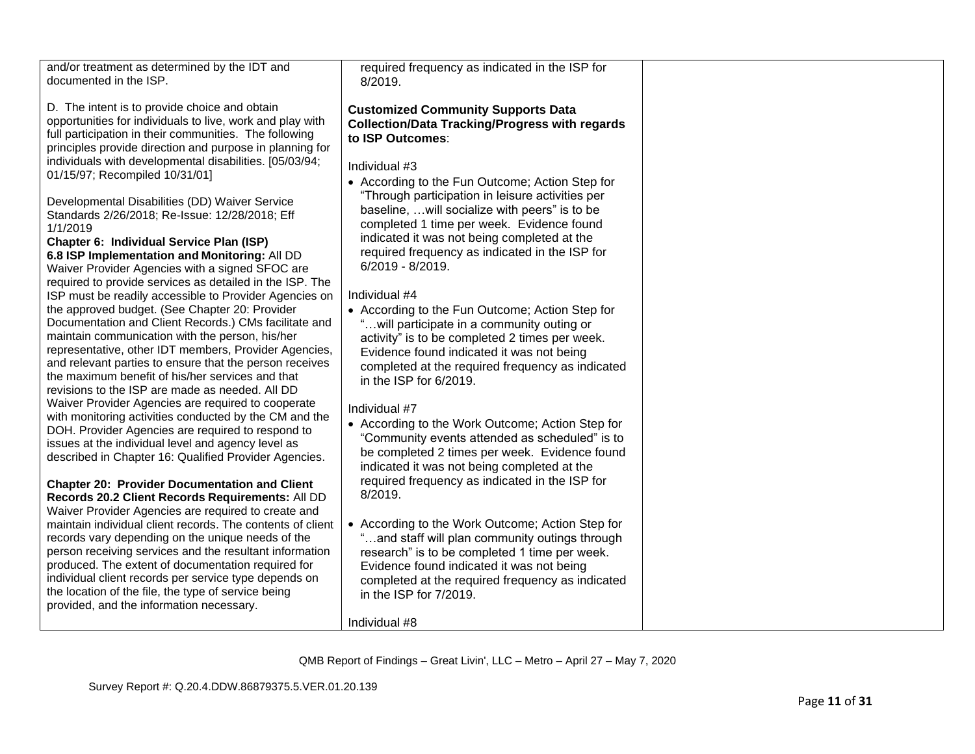| and/or treatment as determined by the IDT and<br>documented in the ISP.<br>D. The intent is to provide choice and obtain<br>opportunities for individuals to live, work and play with<br>full participation in their communities. The following<br>principles provide direction and purpose in planning for<br>individuals with developmental disabilities. [05/03/94;<br>01/15/97; Recompiled 10/31/01]<br>Developmental Disabilities (DD) Waiver Service<br>Standards 2/26/2018; Re-Issue: 12/28/2018; Eff<br>1/1/2019<br>Chapter 6: Individual Service Plan (ISP)<br>6.8 ISP Implementation and Monitoring: All DD                                                                                                                                                                                                                              | required frequency as indicated in the ISP for<br>8/2019.<br><b>Customized Community Supports Data</b><br><b>Collection/Data Tracking/Progress with regards</b><br>to ISP Outcomes:<br>Individual #3<br>• According to the Fun Outcome; Action Step for<br>"Through participation in leisure activities per<br>baseline,  will socialize with peers" is to be<br>completed 1 time per week. Evidence found<br>indicated it was not being completed at the<br>required frequency as indicated in the ISP for |  |
|----------------------------------------------------------------------------------------------------------------------------------------------------------------------------------------------------------------------------------------------------------------------------------------------------------------------------------------------------------------------------------------------------------------------------------------------------------------------------------------------------------------------------------------------------------------------------------------------------------------------------------------------------------------------------------------------------------------------------------------------------------------------------------------------------------------------------------------------------|-------------------------------------------------------------------------------------------------------------------------------------------------------------------------------------------------------------------------------------------------------------------------------------------------------------------------------------------------------------------------------------------------------------------------------------------------------------------------------------------------------------|--|
| Waiver Provider Agencies with a signed SFOC are<br>required to provide services as detailed in the ISP. The<br>ISP must be readily accessible to Provider Agencies on<br>the approved budget. (See Chapter 20: Provider<br>Documentation and Client Records.) CMs facilitate and<br>maintain communication with the person, his/her<br>representative, other IDT members, Provider Agencies,<br>and relevant parties to ensure that the person receives<br>the maximum benefit of his/her services and that<br>revisions to the ISP are made as needed. All DD<br>Waiver Provider Agencies are required to cooperate<br>with monitoring activities conducted by the CM and the<br>DOH. Provider Agencies are required to respond to<br>issues at the individual level and agency level as<br>described in Chapter 16: Qualified Provider Agencies. | 6/2019 - 8/2019.<br>Individual #4<br>• According to the Fun Outcome; Action Step for<br>will participate in a community outing or<br>activity" is to be completed 2 times per week.<br>Evidence found indicated it was not being<br>completed at the required frequency as indicated<br>in the ISP for 6/2019.<br>Individual #7<br>• According to the Work Outcome; Action Step for<br>"Community events attended as scheduled" is to<br>be completed 2 times per week. Evidence found                      |  |
| <b>Chapter 20: Provider Documentation and Client</b><br>Records 20.2 Client Records Requirements: All DD<br>Waiver Provider Agencies are required to create and<br>maintain individual client records. The contents of client<br>records vary depending on the unique needs of the<br>person receiving services and the resultant information<br>produced. The extent of documentation required for<br>individual client records per service type depends on<br>the location of the file, the type of service being<br>provided, and the information necessary.                                                                                                                                                                                                                                                                                    | indicated it was not being completed at the<br>required frequency as indicated in the ISP for<br>8/2019.<br>• According to the Work Outcome; Action Step for<br>"and staff will plan community outings through<br>research" is to be completed 1 time per week.<br>Evidence found indicated it was not being<br>completed at the required frequency as indicated<br>in the ISP for 7/2019.<br>Individual #8                                                                                                 |  |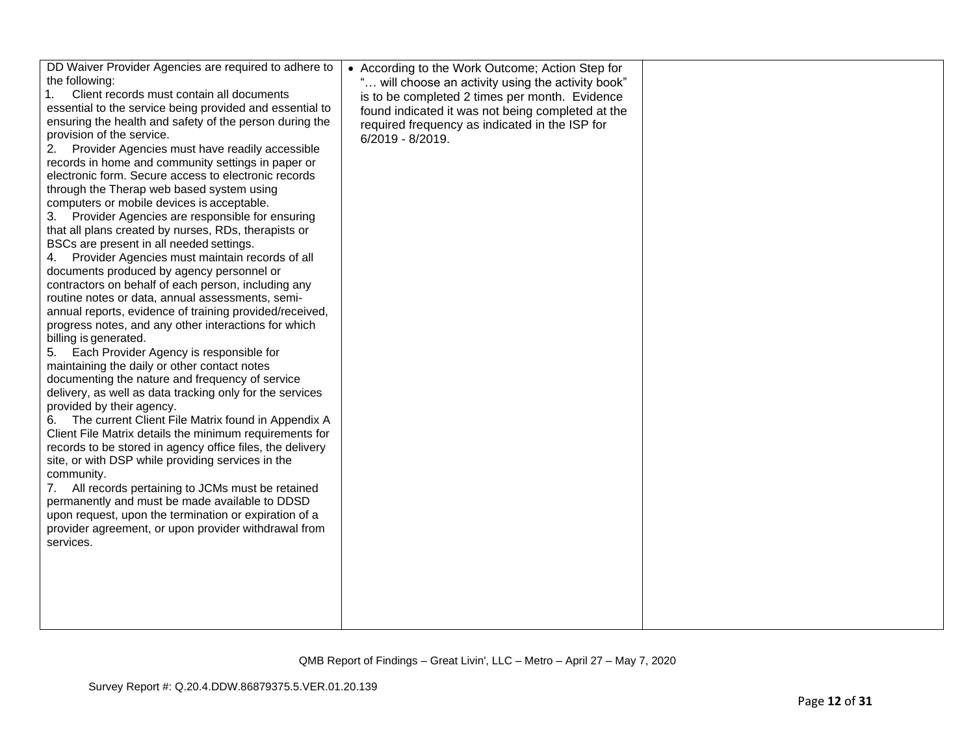| DD Waiver Provider Agencies are required to adhere to<br>the following:<br>Client records must contain all documents<br>1.<br>essential to the service being provided and essential to<br>ensuring the health and safety of the person during the<br>provision of the service.<br>2. Provider Agencies must have readily accessible<br>records in home and community settings in paper or<br>electronic form. Secure access to electronic records<br>through the Therap web based system using<br>computers or mobile devices is acceptable.<br>3. Provider Agencies are responsible for ensuring<br>that all plans created by nurses, RDs, therapists or<br>BSCs are present in all needed settings.<br>4. Provider Agencies must maintain records of all<br>documents produced by agency personnel or<br>contractors on behalf of each person, including any<br>routine notes or data, annual assessments, semi-<br>annual reports, evidence of training provided/received,<br>progress notes, and any other interactions for which<br>billing is generated.<br>5. Each Provider Agency is responsible for<br>maintaining the daily or other contact notes<br>documenting the nature and frequency of service<br>delivery, as well as data tracking only for the services<br>provided by their agency.<br>The current Client File Matrix found in Appendix A<br>6.<br>Client File Matrix details the minimum requirements for<br>records to be stored in agency office files, the delivery<br>site, or with DSP while providing services in the<br>community.<br>7. All records pertaining to JCMs must be retained<br>permanently and must be made available to DDSD<br>upon request, upon the termination or expiration of a<br>provider agreement, or upon provider withdrawal from<br>services. | • According to the Work Outcome; Action Step for<br>will choose an activity using the activity book"<br>is to be completed 2 times per month. Evidence<br>found indicated it was not being completed at the<br>required frequency as indicated in the ISP for<br>6/2019 - 8/2019. |  |
|-------------------------------------------------------------------------------------------------------------------------------------------------------------------------------------------------------------------------------------------------------------------------------------------------------------------------------------------------------------------------------------------------------------------------------------------------------------------------------------------------------------------------------------------------------------------------------------------------------------------------------------------------------------------------------------------------------------------------------------------------------------------------------------------------------------------------------------------------------------------------------------------------------------------------------------------------------------------------------------------------------------------------------------------------------------------------------------------------------------------------------------------------------------------------------------------------------------------------------------------------------------------------------------------------------------------------------------------------------------------------------------------------------------------------------------------------------------------------------------------------------------------------------------------------------------------------------------------------------------------------------------------------------------------------------------------------------------------------------------------------------------------------------------------------------|-----------------------------------------------------------------------------------------------------------------------------------------------------------------------------------------------------------------------------------------------------------------------------------|--|
|                                                                                                                                                                                                                                                                                                                                                                                                                                                                                                                                                                                                                                                                                                                                                                                                                                                                                                                                                                                                                                                                                                                                                                                                                                                                                                                                                                                                                                                                                                                                                                                                                                                                                                                                                                                                       |                                                                                                                                                                                                                                                                                   |  |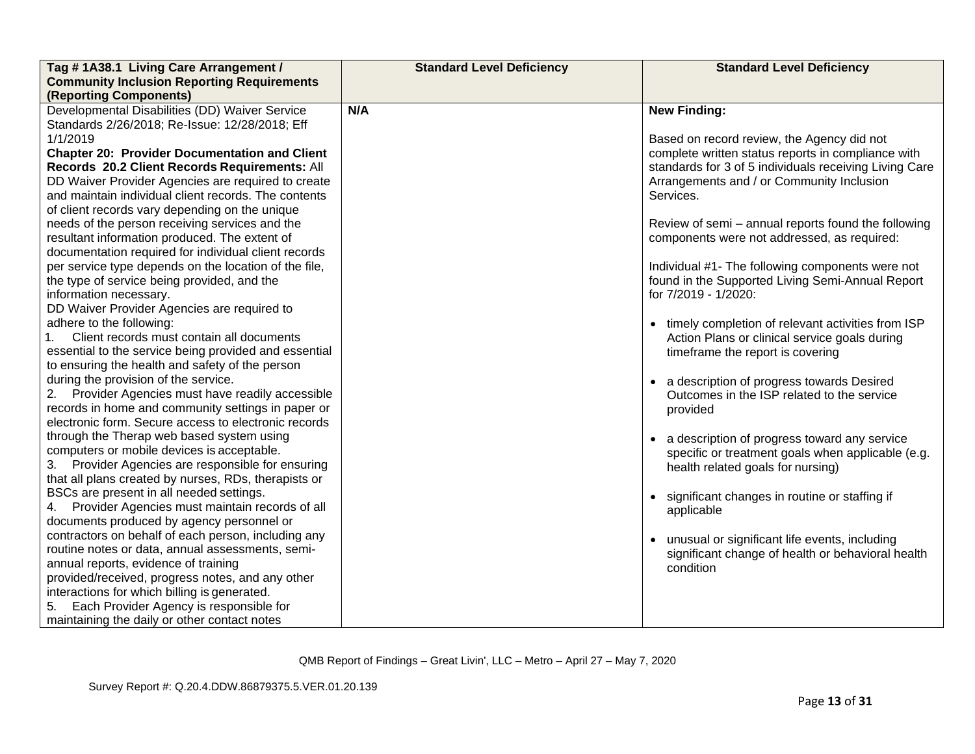| Tag #1A38.1 Living Care Arrangement /<br><b>Community Inclusion Reporting Requirements</b>                                                                                                                                                                                                                                          | <b>Standard Level Deficiency</b> | <b>Standard Level Deficiency</b>                                                                                                                                                                                                                                            |
|-------------------------------------------------------------------------------------------------------------------------------------------------------------------------------------------------------------------------------------------------------------------------------------------------------------------------------------|----------------------------------|-----------------------------------------------------------------------------------------------------------------------------------------------------------------------------------------------------------------------------------------------------------------------------|
| (Reporting Components)                                                                                                                                                                                                                                                                                                              |                                  |                                                                                                                                                                                                                                                                             |
| Developmental Disabilities (DD) Waiver Service<br>Standards 2/26/2018; Re-Issue: 12/28/2018; Eff                                                                                                                                                                                                                                    | N/A                              | <b>New Finding:</b>                                                                                                                                                                                                                                                         |
| 1/1/2019<br><b>Chapter 20: Provider Documentation and Client</b><br>Records 20.2 Client Records Requirements: All<br>DD Waiver Provider Agencies are required to create<br>and maintain individual client records. The contents<br>of client records vary depending on the unique<br>needs of the person receiving services and the |                                  | Based on record review, the Agency did not<br>complete written status reports in compliance with<br>standards for 3 of 5 individuals receiving Living Care<br>Arrangements and / or Community Inclusion<br>Services.<br>Review of semi - annual reports found the following |
| resultant information produced. The extent of<br>documentation required for individual client records                                                                                                                                                                                                                               |                                  | components were not addressed, as required:                                                                                                                                                                                                                                 |
| per service type depends on the location of the file,<br>the type of service being provided, and the<br>information necessary.<br>DD Waiver Provider Agencies are required to                                                                                                                                                       |                                  | Individual #1- The following components were not<br>found in the Supported Living Semi-Annual Report<br>for 7/2019 - 1/2020:                                                                                                                                                |
| adhere to the following:<br>Client records must contain all documents<br>essential to the service being provided and essential<br>to ensuring the health and safety of the person                                                                                                                                                   |                                  | • timely completion of relevant activities from ISP<br>Action Plans or clinical service goals during<br>timeframe the report is covering                                                                                                                                    |
| during the provision of the service.<br>2. Provider Agencies must have readily accessible<br>records in home and community settings in paper or<br>electronic form. Secure access to electronic records                                                                                                                             |                                  | • a description of progress towards Desired<br>Outcomes in the ISP related to the service<br>provided                                                                                                                                                                       |
| through the Therap web based system using<br>computers or mobile devices is acceptable.<br>3. Provider Agencies are responsible for ensuring<br>that all plans created by nurses, RDs, therapists or                                                                                                                                |                                  | • a description of progress toward any service<br>specific or treatment goals when applicable (e.g.<br>health related goals for nursing)                                                                                                                                    |
| BSCs are present in all needed settings.<br>4. Provider Agencies must maintain records of all<br>documents produced by agency personnel or                                                                                                                                                                                          |                                  | • significant changes in routine or staffing if<br>applicable                                                                                                                                                                                                               |
| contractors on behalf of each person, including any<br>routine notes or data, annual assessments, semi-<br>annual reports, evidence of training<br>provided/received, progress notes, and any other                                                                                                                                 |                                  | • unusual or significant life events, including<br>significant change of health or behavioral health<br>condition                                                                                                                                                           |
| interactions for which billing is generated.<br>Each Provider Agency is responsible for<br>maintaining the daily or other contact notes                                                                                                                                                                                             |                                  |                                                                                                                                                                                                                                                                             |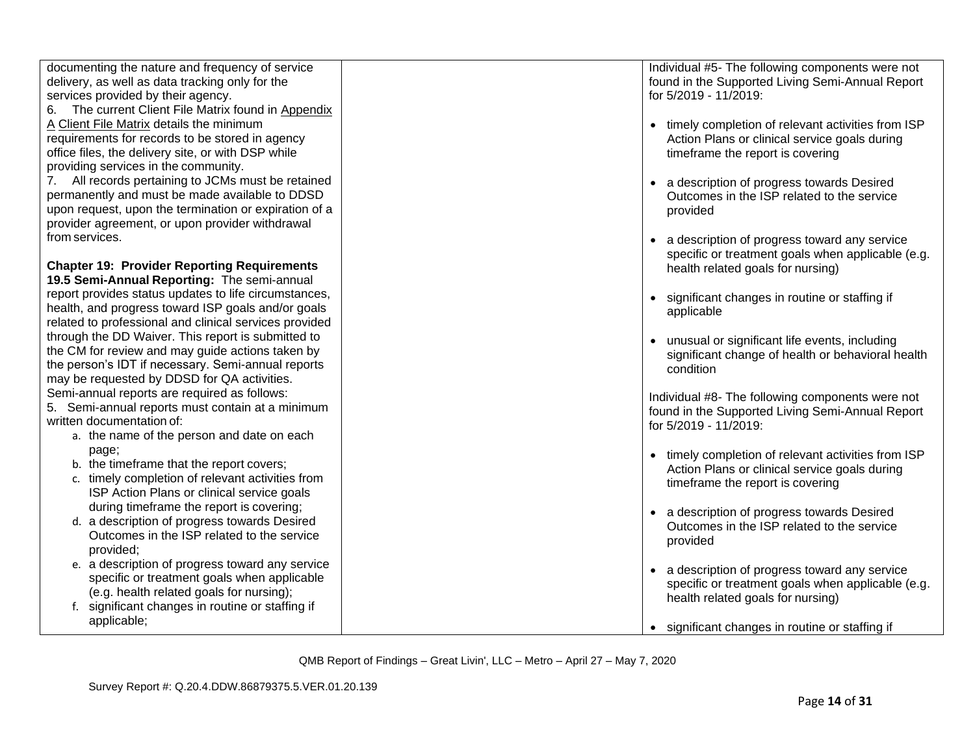| documenting the nature and frequency of service        | Individual #5- The following components were not    |
|--------------------------------------------------------|-----------------------------------------------------|
| delivery, as well as data tracking only for the        | found in the Supported Living Semi-Annual Report    |
| services provided by their agency.                     | for 5/2019 - 11/2019:                               |
| 6. The current Client File Matrix found in Appendix    |                                                     |
| A Client File Matrix details the minimum               | • timely completion of relevant activities from ISP |
| requirements for records to be stored in agency        |                                                     |
|                                                        | Action Plans or clinical service goals during       |
| office files, the delivery site, or with DSP while     | timeframe the report is covering                    |
| providing services in the community.                   |                                                     |
| All records pertaining to JCMs must be retained<br>7.  | • a description of progress towards Desired         |
| permanently and must be made available to DDSD         | Outcomes in the ISP related to the service          |
| upon request, upon the termination or expiration of a  | provided                                            |
| provider agreement, or upon provider withdrawal        |                                                     |
| from services.                                         | a description of progress toward any service        |
|                                                        | specific or treatment goals when applicable (e.g.   |
| <b>Chapter 19: Provider Reporting Requirements</b>     | health related goals for nursing)                   |
| 19.5 Semi-Annual Reporting: The semi-annual            |                                                     |
| report provides status updates to life circumstances,  | • significant changes in routine or staffing if     |
| health, and progress toward ISP goals and/or goals     | applicable                                          |
| related to professional and clinical services provided |                                                     |
| through the DD Waiver. This report is submitted to     |                                                     |
| the CM for review and may guide actions taken by       | unusual or significant life events, including       |
| the person's IDT if necessary. Semi-annual reports     | significant change of health or behavioral health   |
| may be requested by DDSD for QA activities.            | condition                                           |
| Semi-annual reports are required as follows:           |                                                     |
|                                                        | Individual #8- The following components were not    |
| 5. Semi-annual reports must contain at a minimum       | found in the Supported Living Semi-Annual Report    |
| written documentation of:                              | for 5/2019 - 11/2019:                               |
| a. the name of the person and date on each             |                                                     |
| page;                                                  | • timely completion of relevant activities from ISP |
| b. the timeframe that the report covers;               | Action Plans or clinical service goals during       |
| c. timely completion of relevant activities from       | timeframe the report is covering                    |
| ISP Action Plans or clinical service goals             |                                                     |
| during timeframe the report is covering;               | a description of progress towards Desired           |
| d. a description of progress towards Desired           | Outcomes in the ISP related to the service          |
| Outcomes in the ISP related to the service             | provided                                            |
| provided;                                              |                                                     |
| e. a description of progress toward any service        |                                                     |
| specific or treatment goals when applicable            | • a description of progress toward any service      |
| (e.g. health related goals for nursing);               | specific or treatment goals when applicable (e.g.   |
| f. significant changes in routine or staffing if       | health related goals for nursing)                   |
| applicable;                                            |                                                     |
|                                                        | • significant changes in routine or staffing if     |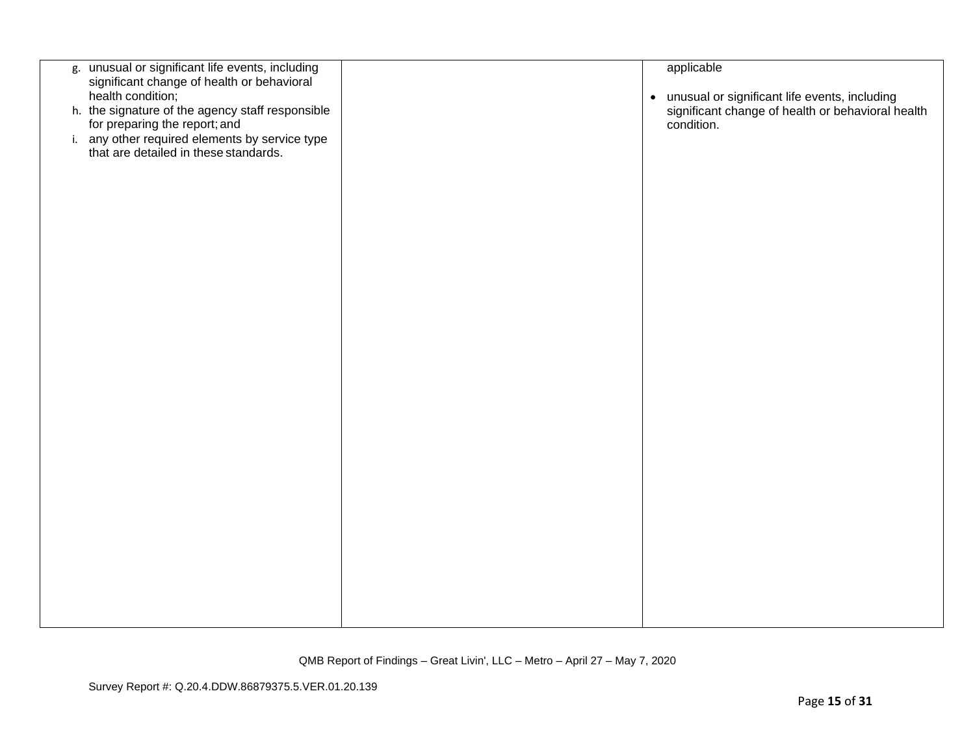| g. unusual or significant life events, including<br>significant change of health or behavioral<br>health condition; | applicable<br>• unusual or significant life events, including   |
|---------------------------------------------------------------------------------------------------------------------|-----------------------------------------------------------------|
| h. the signature of the agency staff responsible<br>for preparing the report; and                                   | significant change of health or behavioral health<br>condition. |
| i. any other required elements by service type<br>that are detailed in these standards.                             |                                                                 |
|                                                                                                                     |                                                                 |
|                                                                                                                     |                                                                 |
|                                                                                                                     |                                                                 |
|                                                                                                                     |                                                                 |
|                                                                                                                     |                                                                 |
|                                                                                                                     |                                                                 |
|                                                                                                                     |                                                                 |
|                                                                                                                     |                                                                 |
|                                                                                                                     |                                                                 |
|                                                                                                                     |                                                                 |
|                                                                                                                     |                                                                 |
|                                                                                                                     |                                                                 |
|                                                                                                                     |                                                                 |
|                                                                                                                     |                                                                 |
|                                                                                                                     |                                                                 |
|                                                                                                                     |                                                                 |
|                                                                                                                     |                                                                 |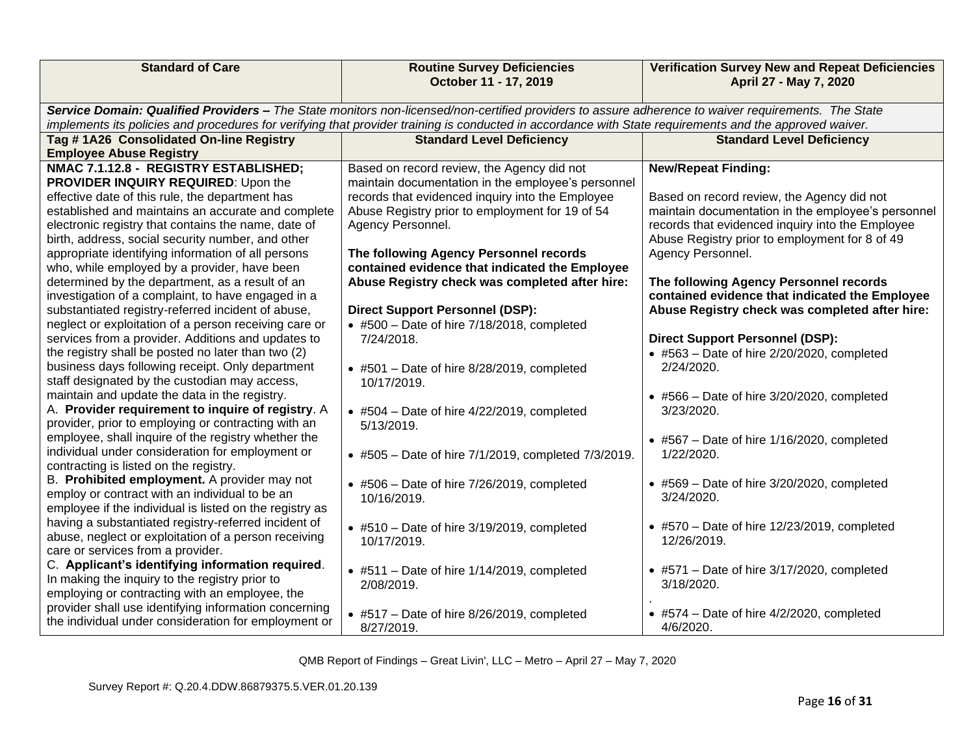| <b>Standard of Care</b>                                                                                                                                                                                                                                                                                        | <b>Routine Survey Deficiencies</b><br>October 11 - 17, 2019 | <b>Verification Survey New and Repeat Deficiencies</b><br>April 27 - May 7, 2020 |  |  |
|----------------------------------------------------------------------------------------------------------------------------------------------------------------------------------------------------------------------------------------------------------------------------------------------------------------|-------------------------------------------------------------|----------------------------------------------------------------------------------|--|--|
| Service Domain: Qualified Providers - The State monitors non-licensed/non-certified providers to assure adherence to waiver requirements. The State<br>implements its policies and procedures for verifying that provider training is conducted in accordance with State requirements and the approved waiver. |                                                             |                                                                                  |  |  |
| Tag #1A26 Consolidated On-line Registry                                                                                                                                                                                                                                                                        | <b>Standard Level Deficiency</b>                            | <b>Standard Level Deficiency</b>                                                 |  |  |
| <b>Employee Abuse Registry</b>                                                                                                                                                                                                                                                                                 |                                                             |                                                                                  |  |  |
| NMAC 7.1.12.8 - REGISTRY ESTABLISHED;                                                                                                                                                                                                                                                                          | Based on record review, the Agency did not                  | <b>New/Repeat Finding:</b>                                                       |  |  |
| PROVIDER INQUIRY REQUIRED: Upon the                                                                                                                                                                                                                                                                            | maintain documentation in the employee's personnel          |                                                                                  |  |  |
| effective date of this rule, the department has                                                                                                                                                                                                                                                                | records that evidenced inquiry into the Employee            | Based on record review, the Agency did not                                       |  |  |
| established and maintains an accurate and complete                                                                                                                                                                                                                                                             | Abuse Registry prior to employment for 19 of 54             | maintain documentation in the employee's personnel                               |  |  |
| electronic registry that contains the name, date of                                                                                                                                                                                                                                                            | Agency Personnel.                                           | records that evidenced inquiry into the Employee                                 |  |  |
| birth, address, social security number, and other                                                                                                                                                                                                                                                              |                                                             | Abuse Registry prior to employment for 8 of 49                                   |  |  |
| appropriate identifying information of all persons                                                                                                                                                                                                                                                             | The following Agency Personnel records                      | Agency Personnel.                                                                |  |  |
| who, while employed by a provider, have been                                                                                                                                                                                                                                                                   | contained evidence that indicated the Employee              |                                                                                  |  |  |
| determined by the department, as a result of an                                                                                                                                                                                                                                                                | Abuse Registry check was completed after hire:              | The following Agency Personnel records                                           |  |  |
| investigation of a complaint, to have engaged in a                                                                                                                                                                                                                                                             |                                                             | contained evidence that indicated the Employee                                   |  |  |
| substantiated registry-referred incident of abuse,                                                                                                                                                                                                                                                             | <b>Direct Support Personnel (DSP):</b>                      | Abuse Registry check was completed after hire:                                   |  |  |
| neglect or exploitation of a person receiving care or                                                                                                                                                                                                                                                          | $\bullet$ #500 - Date of hire 7/18/2018, completed          |                                                                                  |  |  |
| services from a provider. Additions and updates to                                                                                                                                                                                                                                                             | 7/24/2018.                                                  | <b>Direct Support Personnel (DSP):</b>                                           |  |  |
| the registry shall be posted no later than two (2)                                                                                                                                                                                                                                                             |                                                             | $\bullet$ #563 - Date of hire 2/20/2020, completed                               |  |  |
| business days following receipt. Only department                                                                                                                                                                                                                                                               | $\bullet$ #501 - Date of hire 8/28/2019, completed          | 2/24/2020.                                                                       |  |  |
| staff designated by the custodian may access,                                                                                                                                                                                                                                                                  | 10/17/2019.                                                 |                                                                                  |  |  |
| maintain and update the data in the registry.                                                                                                                                                                                                                                                                  |                                                             | $\bullet$ #566 - Date of hire 3/20/2020, completed                               |  |  |
| A. Provider requirement to inquire of registry. A                                                                                                                                                                                                                                                              | $\bullet$ #504 - Date of hire 4/22/2019, completed          | 3/23/2020.                                                                       |  |  |
| provider, prior to employing or contracting with an                                                                                                                                                                                                                                                            | 5/13/2019.                                                  |                                                                                  |  |  |
| employee, shall inquire of the registry whether the                                                                                                                                                                                                                                                            |                                                             | $\bullet$ #567 – Date of hire 1/16/2020, completed                               |  |  |
| individual under consideration for employment or                                                                                                                                                                                                                                                               | • #505 - Date of hire 7/1/2019, completed 7/3/2019.         | 1/22/2020.                                                                       |  |  |
| contracting is listed on the registry.                                                                                                                                                                                                                                                                         |                                                             |                                                                                  |  |  |
| B. Prohibited employment. A provider may not                                                                                                                                                                                                                                                                   | $\bullet$ #506 - Date of hire 7/26/2019, completed          | $\bullet$ #569 - Date of hire 3/20/2020, completed                               |  |  |
| employ or contract with an individual to be an                                                                                                                                                                                                                                                                 | 10/16/2019.                                                 | 3/24/2020.                                                                       |  |  |
| employee if the individual is listed on the registry as                                                                                                                                                                                                                                                        |                                                             |                                                                                  |  |  |
| having a substantiated registry-referred incident of                                                                                                                                                                                                                                                           | $\bullet$ #510 - Date of hire 3/19/2019, completed          | $\bullet$ #570 – Date of hire 12/23/2019, completed                              |  |  |
| abuse, neglect or exploitation of a person receiving                                                                                                                                                                                                                                                           | 10/17/2019.                                                 | 12/26/2019.                                                                      |  |  |
| care or services from a provider.                                                                                                                                                                                                                                                                              |                                                             |                                                                                  |  |  |
| C. Applicant's identifying information required.                                                                                                                                                                                                                                                               | $\bullet$ #511 - Date of hire 1/14/2019, completed          | $\bullet$ #571 - Date of hire 3/17/2020, completed                               |  |  |
| In making the inquiry to the registry prior to                                                                                                                                                                                                                                                                 | 2/08/2019.                                                  | 3/18/2020.                                                                       |  |  |
| employing or contracting with an employee, the                                                                                                                                                                                                                                                                 |                                                             |                                                                                  |  |  |
| provider shall use identifying information concerning                                                                                                                                                                                                                                                          | $\bullet$ #517 - Date of hire 8/26/2019, completed          | $\bullet$ #574 - Date of hire 4/2/2020, completed                                |  |  |
| the individual under consideration for employment or                                                                                                                                                                                                                                                           | 8/27/2019.                                                  | 4/6/2020.                                                                        |  |  |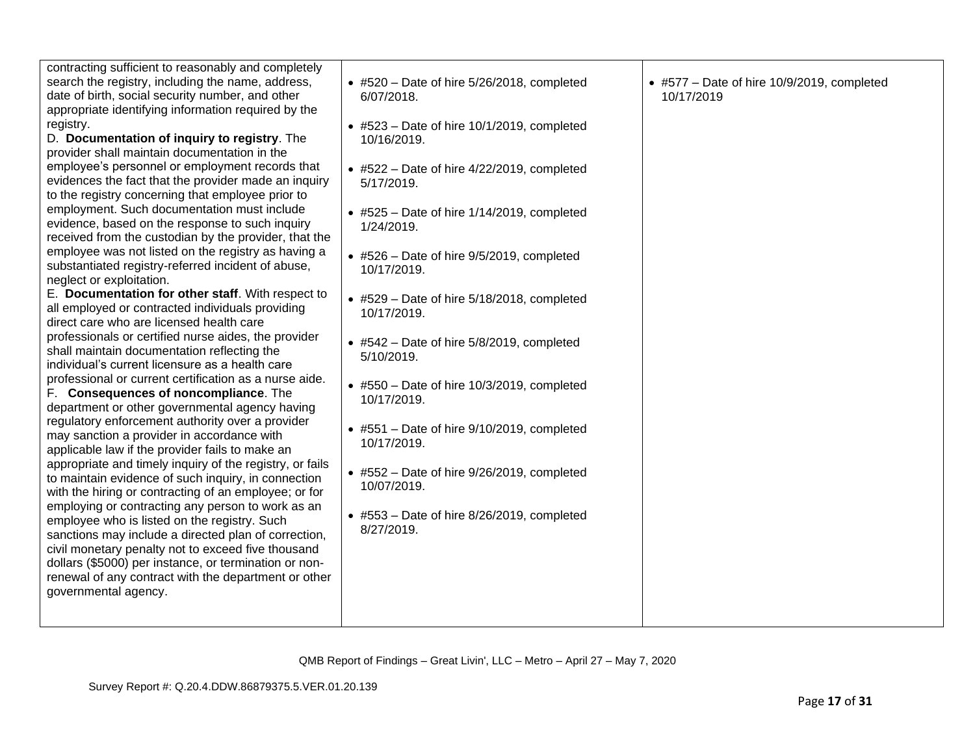| contracting sufficient to reasonably and completely<br>search the registry, including the name, address,<br>date of birth, social security number, and other<br>appropriate identifying information required by the<br>registry.<br>D. Documentation of inquiry to registry. The<br>provider shall maintain documentation in the<br>employee's personnel or employment records that<br>evidences the fact that the provider made an inquiry<br>to the registry concerning that employee prior to<br>employment. Such documentation must include<br>evidence, based on the response to such inquiry<br>received from the custodian by the provider, that the<br>employee was not listed on the registry as having a<br>substantiated registry-referred incident of abuse,<br>neglect or exploitation.<br>E. Documentation for other staff. With respect to<br>all employed or contracted individuals providing<br>direct care who are licensed health care<br>professionals or certified nurse aides, the provider<br>shall maintain documentation reflecting the<br>individual's current licensure as a health care<br>professional or current certification as a nurse aide.<br>F. Consequences of noncompliance. The<br>department or other governmental agency having<br>regulatory enforcement authority over a provider<br>may sanction a provider in accordance with<br>applicable law if the provider fails to make an<br>appropriate and timely inquiry of the registry, or fails<br>to maintain evidence of such inquiry, in connection<br>with the hiring or contracting of an employee; or for<br>employing or contracting any person to work as an<br>employee who is listed on the registry. Such<br>sanctions may include a directed plan of correction,<br>civil monetary penalty not to exceed five thousand<br>dollars (\$5000) per instance, or termination or non-<br>renewal of any contract with the department or other<br>governmental agency. | $\bullet$ #520 - Date of hire 5/26/2018, completed<br>6/07/2018.<br>$\bullet$ #523 – Date of hire 10/1/2019, completed<br>10/16/2019.<br>$\bullet$ #522 - Date of hire 4/22/2019, completed<br>5/17/2019.<br>$\bullet$ #525 - Date of hire 1/14/2019, completed<br>1/24/2019.<br>$\bullet$ #526 - Date of hire 9/5/2019, completed<br>10/17/2019.<br>• #529 - Date of hire 5/18/2018, completed<br>10/17/2019.<br>$\bullet$ #542 - Date of hire 5/8/2019, completed<br>5/10/2019.<br>$\bullet$ #550 - Date of hire 10/3/2019, completed<br>10/17/2019.<br>$\bullet$ #551 - Date of hire 9/10/2019, completed<br>10/17/2019.<br>$\bullet$ #552 - Date of hire 9/26/2019, completed<br>10/07/2019.<br>$\bullet$ #553 - Date of hire 8/26/2019, completed<br>8/27/2019. | $\bullet$ #577 – Date of hire 10/9/2019, completed<br>10/17/2019 |
|-----------------------------------------------------------------------------------------------------------------------------------------------------------------------------------------------------------------------------------------------------------------------------------------------------------------------------------------------------------------------------------------------------------------------------------------------------------------------------------------------------------------------------------------------------------------------------------------------------------------------------------------------------------------------------------------------------------------------------------------------------------------------------------------------------------------------------------------------------------------------------------------------------------------------------------------------------------------------------------------------------------------------------------------------------------------------------------------------------------------------------------------------------------------------------------------------------------------------------------------------------------------------------------------------------------------------------------------------------------------------------------------------------------------------------------------------------------------------------------------------------------------------------------------------------------------------------------------------------------------------------------------------------------------------------------------------------------------------------------------------------------------------------------------------------------------------------------------------------------------------------------------------------------------------------------------------------------------------|----------------------------------------------------------------------------------------------------------------------------------------------------------------------------------------------------------------------------------------------------------------------------------------------------------------------------------------------------------------------------------------------------------------------------------------------------------------------------------------------------------------------------------------------------------------------------------------------------------------------------------------------------------------------------------------------------------------------------------------------------------------------|------------------------------------------------------------------|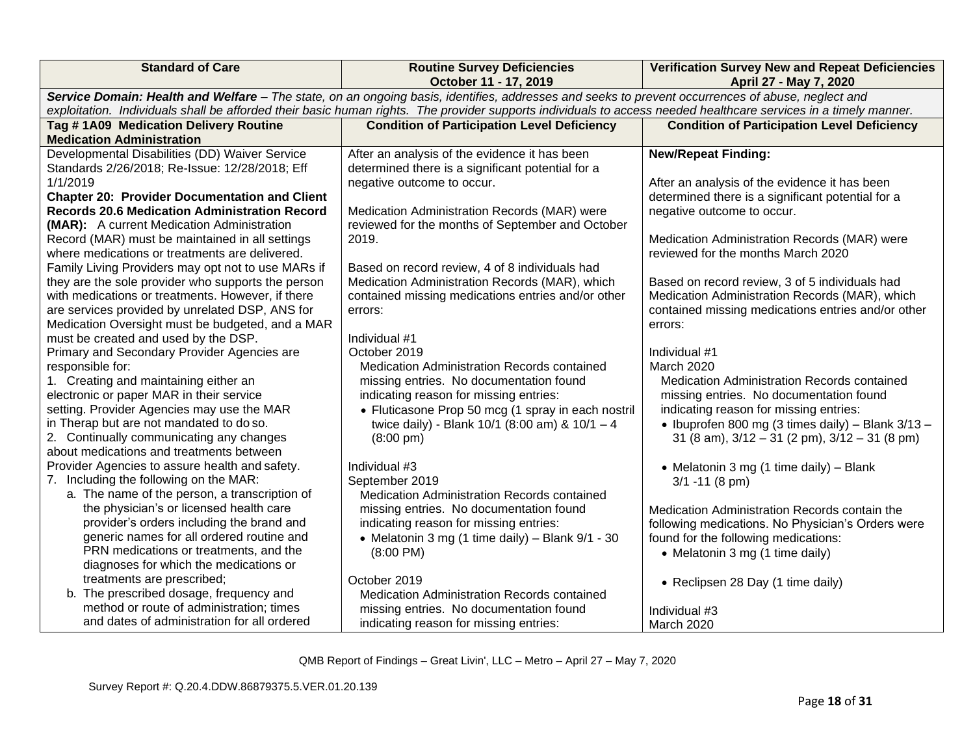|                                                                                                                                                                                                                                                                                                                                                                                                                                                                                                                                                                                                                                                                                                                                                                                                                                                                                                                                                                                                                                                                                                                                                                                                                                                                       | Service Domain: Health and Welfare - The state, on an ongoing basis, identifies, addresses and seeks to prevent occurrences of abuse, neglect and<br>exploitation. Individuals shall be afforded their basic human rights. The provider supports individuals to access needed healthcare services in a timely manner.<br><b>Condition of Participation Level Deficiency</b>                                                                                                                                                                                                                                                                                                                                                                                                                                                                                |                                                                                                                                                                                                                                                                                                                                                                                                                                                                                                                                                                                                                                                                                                                                                                                                                                  |
|-----------------------------------------------------------------------------------------------------------------------------------------------------------------------------------------------------------------------------------------------------------------------------------------------------------------------------------------------------------------------------------------------------------------------------------------------------------------------------------------------------------------------------------------------------------------------------------------------------------------------------------------------------------------------------------------------------------------------------------------------------------------------------------------------------------------------------------------------------------------------------------------------------------------------------------------------------------------------------------------------------------------------------------------------------------------------------------------------------------------------------------------------------------------------------------------------------------------------------------------------------------------------|------------------------------------------------------------------------------------------------------------------------------------------------------------------------------------------------------------------------------------------------------------------------------------------------------------------------------------------------------------------------------------------------------------------------------------------------------------------------------------------------------------------------------------------------------------------------------------------------------------------------------------------------------------------------------------------------------------------------------------------------------------------------------------------------------------------------------------------------------------|----------------------------------------------------------------------------------------------------------------------------------------------------------------------------------------------------------------------------------------------------------------------------------------------------------------------------------------------------------------------------------------------------------------------------------------------------------------------------------------------------------------------------------------------------------------------------------------------------------------------------------------------------------------------------------------------------------------------------------------------------------------------------------------------------------------------------------|
|                                                                                                                                                                                                                                                                                                                                                                                                                                                                                                                                                                                                                                                                                                                                                                                                                                                                                                                                                                                                                                                                                                                                                                                                                                                                       |                                                                                                                                                                                                                                                                                                                                                                                                                                                                                                                                                                                                                                                                                                                                                                                                                                                            |                                                                                                                                                                                                                                                                                                                                                                                                                                                                                                                                                                                                                                                                                                                                                                                                                                  |
| Tag #1A09 Medication Delivery Routine                                                                                                                                                                                                                                                                                                                                                                                                                                                                                                                                                                                                                                                                                                                                                                                                                                                                                                                                                                                                                                                                                                                                                                                                                                 |                                                                                                                                                                                                                                                                                                                                                                                                                                                                                                                                                                                                                                                                                                                                                                                                                                                            | <b>Condition of Participation Level Deficiency</b>                                                                                                                                                                                                                                                                                                                                                                                                                                                                                                                                                                                                                                                                                                                                                                               |
| <b>Medication Administration</b><br>Developmental Disabilities (DD) Waiver Service<br>Standards 2/26/2018; Re-Issue: 12/28/2018; Eff<br>1/1/2019<br><b>Chapter 20: Provider Documentation and Client</b><br><b>Records 20.6 Medication Administration Record</b><br>(MAR): A current Medication Administration<br>Record (MAR) must be maintained in all settings<br>where medications or treatments are delivered.<br>Family Living Providers may opt not to use MARs if<br>they are the sole provider who supports the person<br>with medications or treatments. However, if there<br>are services provided by unrelated DSP, ANS for<br>Medication Oversight must be budgeted, and a MAR<br>must be created and used by the DSP.<br>Primary and Secondary Provider Agencies are<br>responsible for:<br>1. Creating and maintaining either an<br>electronic or paper MAR in their service<br>setting. Provider Agencies may use the MAR<br>in Therap but are not mandated to do so.<br>2. Continually communicating any changes<br>about medications and treatments between<br>Provider Agencies to assure health and safety.<br>7. Including the following on the MAR:<br>a. The name of the person, a transcription of<br>the physician's or licensed health care | After an analysis of the evidence it has been<br>determined there is a significant potential for a<br>negative outcome to occur.<br>Medication Administration Records (MAR) were<br>reviewed for the months of September and October<br>2019.<br>Based on record review, 4 of 8 individuals had<br>Medication Administration Records (MAR), which<br>contained missing medications entries and/or other<br>errors:<br>Individual #1<br>October 2019<br><b>Medication Administration Records contained</b><br>missing entries. No documentation found<br>indicating reason for missing entries:<br>• Fluticasone Prop 50 mcg (1 spray in each nostril<br>twice daily) - Blank 10/1 (8:00 am) & 10/1 - 4<br>$(8:00 \text{ pm})$<br>Individual #3<br>September 2019<br>Medication Administration Records contained<br>missing entries. No documentation found | <b>New/Repeat Finding:</b><br>After an analysis of the evidence it has been<br>determined there is a significant potential for a<br>negative outcome to occur.<br>Medication Administration Records (MAR) were<br>reviewed for the months March 2020<br>Based on record review, 3 of 5 individuals had<br>Medication Administration Records (MAR), which<br>contained missing medications entries and/or other<br>errors:<br>Individual #1<br><b>March 2020</b><br>Medication Administration Records contained<br>missing entries. No documentation found<br>indicating reason for missing entries:<br>• Ibuprofen 800 mg (3 times daily) – Blank $3/13$ –<br>31 (8 am), $3/12 - 31$ (2 pm), $3/12 - 31$ (8 pm)<br>• Melatonin 3 mg (1 time daily) - Blank<br>$3/1 - 11$ (8 pm)<br>Medication Administration Records contain the |
| provider's orders including the brand and<br>generic names for all ordered routine and<br>PRN medications or treatments, and the                                                                                                                                                                                                                                                                                                                                                                                                                                                                                                                                                                                                                                                                                                                                                                                                                                                                                                                                                                                                                                                                                                                                      | indicating reason for missing entries:<br>• Melatonin 3 mg (1 time daily) – Blank $9/1 - 30$<br>$(8:00 \text{ PM})$                                                                                                                                                                                                                                                                                                                                                                                                                                                                                                                                                                                                                                                                                                                                        | following medications. No Physician's Orders were<br>found for the following medications:<br>• Melatonin 3 mg (1 time daily)                                                                                                                                                                                                                                                                                                                                                                                                                                                                                                                                                                                                                                                                                                     |
| diagnoses for which the medications or<br>treatments are prescribed;<br>b. The prescribed dosage, frequency and<br>method or route of administration; times<br>and dates of administration for all ordered                                                                                                                                                                                                                                                                                                                                                                                                                                                                                                                                                                                                                                                                                                                                                                                                                                                                                                                                                                                                                                                            | October 2019<br>Medication Administration Records contained<br>missing entries. No documentation found<br>indicating reason for missing entries:                                                                                                                                                                                                                                                                                                                                                                                                                                                                                                                                                                                                                                                                                                           | • Reclipsen 28 Day (1 time daily)<br>Individual #3<br>March 2020                                                                                                                                                                                                                                                                                                                                                                                                                                                                                                                                                                                                                                                                                                                                                                 |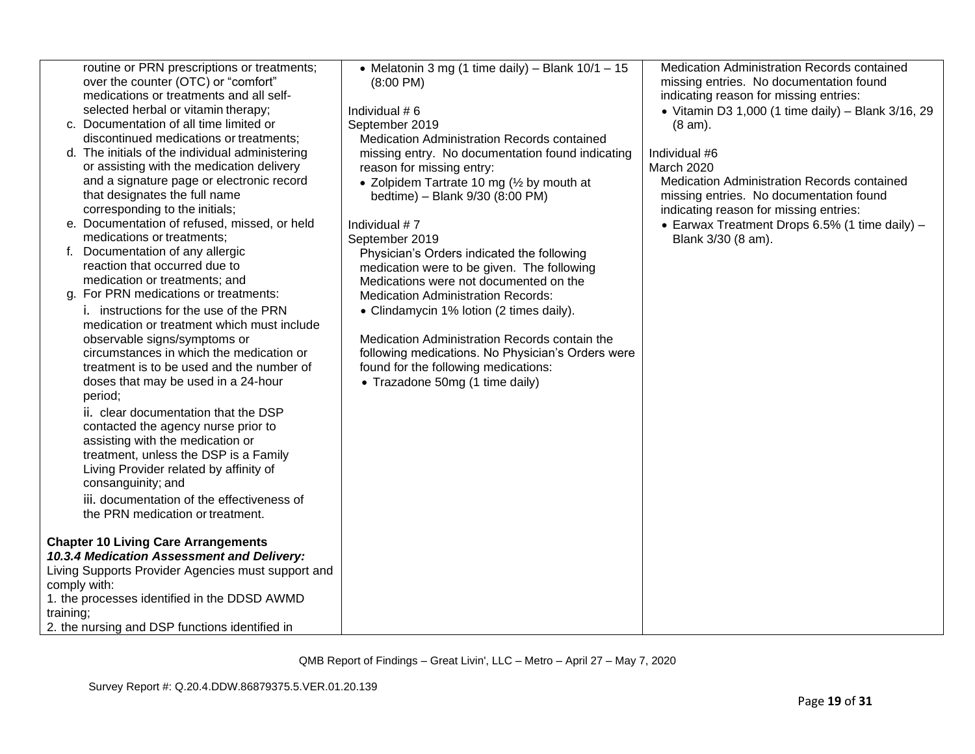| routine or PRN prescriptions or treatments;        | • Melatonin 3 mg (1 time daily) – Blank $10/1 - 15$ | Medication Administration Records contained        |
|----------------------------------------------------|-----------------------------------------------------|----------------------------------------------------|
| over the counter (OTC) or "comfort"                | $(8:00 \text{ PM})$                                 | missing entries. No documentation found            |
| medications or treatments and all self-            |                                                     | indicating reason for missing entries:             |
| selected herbal or vitamin therapy;                | Individual #6                                       | • Vitamin D3 1,000 (1 time daily) - Blank 3/16, 29 |
| c. Documentation of all time limited or            | September 2019                                      | $(8 am)$ .                                         |
| discontinued medications or treatments;            | Medication Administration Records contained         |                                                    |
| d. The initials of the individual administering    | missing entry. No documentation found indicating    | Individual #6                                      |
| or assisting with the medication delivery          | reason for missing entry:                           | March 2020                                         |
| and a signature page or electronic record          | • Zolpidem Tartrate 10 mg $\frac{1}{2}$ by mouth at | Medication Administration Records contained        |
| that designates the full name                      | bedtime) - Blank 9/30 (8:00 PM)                     | missing entries. No documentation found            |
| corresponding to the initials;                     |                                                     | indicating reason for missing entries:             |
| e. Documentation of refused, missed, or held       | Individual #7                                       | • Earwax Treatment Drops 6.5% (1 time daily) $-$   |
| medications or treatments;                         | September 2019                                      | Blank 3/30 (8 am).                                 |
| Documentation of any allergic                      | Physician's Orders indicated the following          |                                                    |
| reaction that occurred due to                      | medication were to be given. The following          |                                                    |
| medication or treatments; and                      | Medications were not documented on the              |                                                    |
| g. For PRN medications or treatments:              | <b>Medication Administration Records:</b>           |                                                    |
| i. instructions for the use of the PRN             | • Clindamycin 1% lotion (2 times daily).            |                                                    |
| medication or treatment which must include         |                                                     |                                                    |
| observable signs/symptoms or                       | Medication Administration Records contain the       |                                                    |
| circumstances in which the medication or           | following medications. No Physician's Orders were   |                                                    |
| treatment is to be used and the number of          | found for the following medications:                |                                                    |
| doses that may be used in a 24-hour                | • Trazadone 50mg (1 time daily)                     |                                                    |
| period;                                            |                                                     |                                                    |
| ii. clear documentation that the DSP               |                                                     |                                                    |
| contacted the agency nurse prior to                |                                                     |                                                    |
| assisting with the medication or                   |                                                     |                                                    |
| treatment, unless the DSP is a Family              |                                                     |                                                    |
| Living Provider related by affinity of             |                                                     |                                                    |
| consanguinity; and                                 |                                                     |                                                    |
| iii. documentation of the effectiveness of         |                                                     |                                                    |
| the PRN medication or treatment.                   |                                                     |                                                    |
|                                                    |                                                     |                                                    |
| <b>Chapter 10 Living Care Arrangements</b>         |                                                     |                                                    |
| 10.3.4 Medication Assessment and Delivery:         |                                                     |                                                    |
| Living Supports Provider Agencies must support and |                                                     |                                                    |
| comply with:                                       |                                                     |                                                    |
| 1. the processes identified in the DDSD AWMD       |                                                     |                                                    |
| training;                                          |                                                     |                                                    |
| 2. the nursing and DSP functions identified in     |                                                     |                                                    |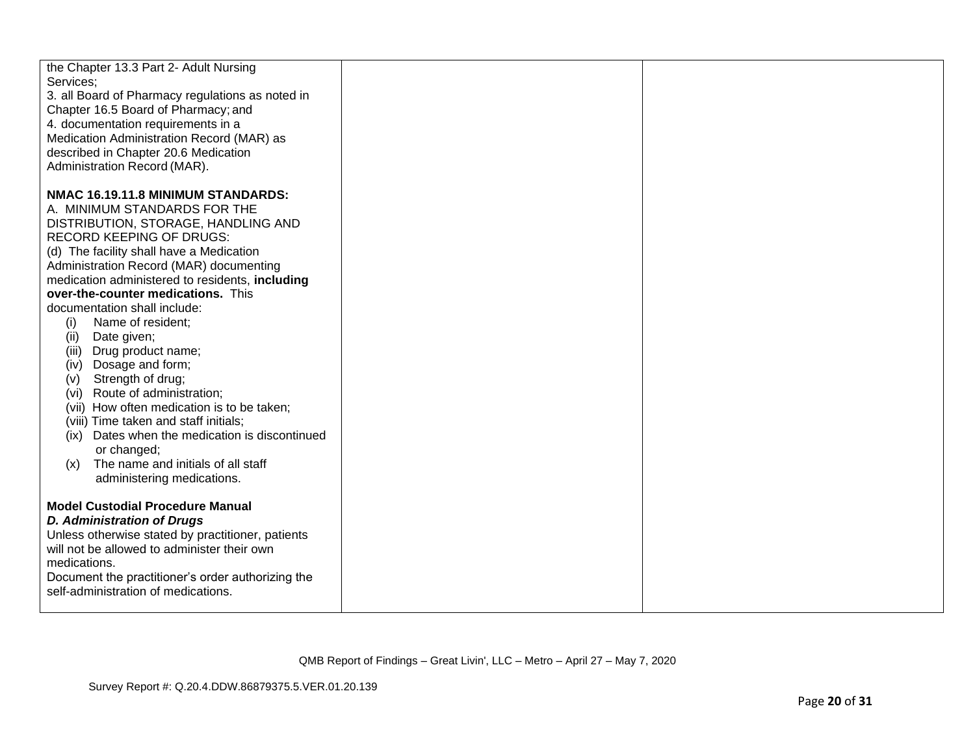| the Chapter 13.3 Part 2- Adult Nursing            |  |
|---------------------------------------------------|--|
| Services;                                         |  |
| 3. all Board of Pharmacy regulations as noted in  |  |
| Chapter 16.5 Board of Pharmacy; and               |  |
| 4. documentation requirements in a                |  |
| Medication Administration Record (MAR) as         |  |
| described in Chapter 20.6 Medication              |  |
| Administration Record (MAR).                      |  |
|                                                   |  |
| NMAC 16.19.11.8 MINIMUM STANDARDS:                |  |
| A. MINIMUM STANDARDS FOR THE                      |  |
| DISTRIBUTION, STORAGE, HANDLING AND               |  |
| <b>RECORD KEEPING OF DRUGS:</b>                   |  |
| (d) The facility shall have a Medication          |  |
| Administration Record (MAR) documenting           |  |
| medication administered to residents, including   |  |
| over-the-counter medications. This                |  |
| documentation shall include:                      |  |
| Name of resident;<br>(i)                          |  |
| Date given;<br>(ii)                               |  |
| Drug product name;<br>(iii)                       |  |
| Dosage and form;<br>(iv)                          |  |
| Strength of drug;<br>(v)                          |  |
| Route of administration;<br>(vi)                  |  |
| (vii) How often medication is to be taken;        |  |
| (viii) Time taken and staff initials;             |  |
| (ix) Dates when the medication is discontinued    |  |
| or changed;                                       |  |
| The name and initials of all staff<br>(x)         |  |
| administering medications.                        |  |
|                                                   |  |
| <b>Model Custodial Procedure Manual</b>           |  |
| <b>D. Administration of Drugs</b>                 |  |
| Unless otherwise stated by practitioner, patients |  |
| will not be allowed to administer their own       |  |
| medications.                                      |  |
| Document the practitioner's order authorizing the |  |
| self-administration of medications.               |  |
|                                                   |  |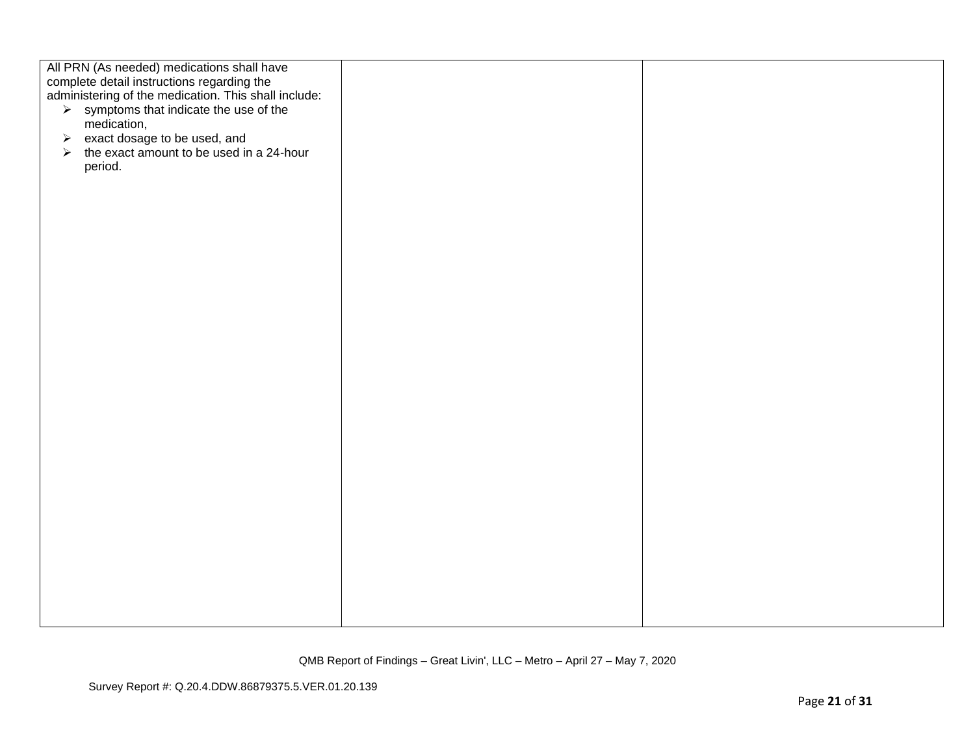| All PRN (As needed) medications shall have<br>complete detail instructions regarding the<br>administering of the medication. This shall include:<br>$\triangleright$ symptoms that indicate the use of the<br>medication,<br>$\triangleright$ exact dosage to be used, and<br>the exact amount to be used in a 24-hour<br>➤<br>period. |  |
|----------------------------------------------------------------------------------------------------------------------------------------------------------------------------------------------------------------------------------------------------------------------------------------------------------------------------------------|--|
|                                                                                                                                                                                                                                                                                                                                        |  |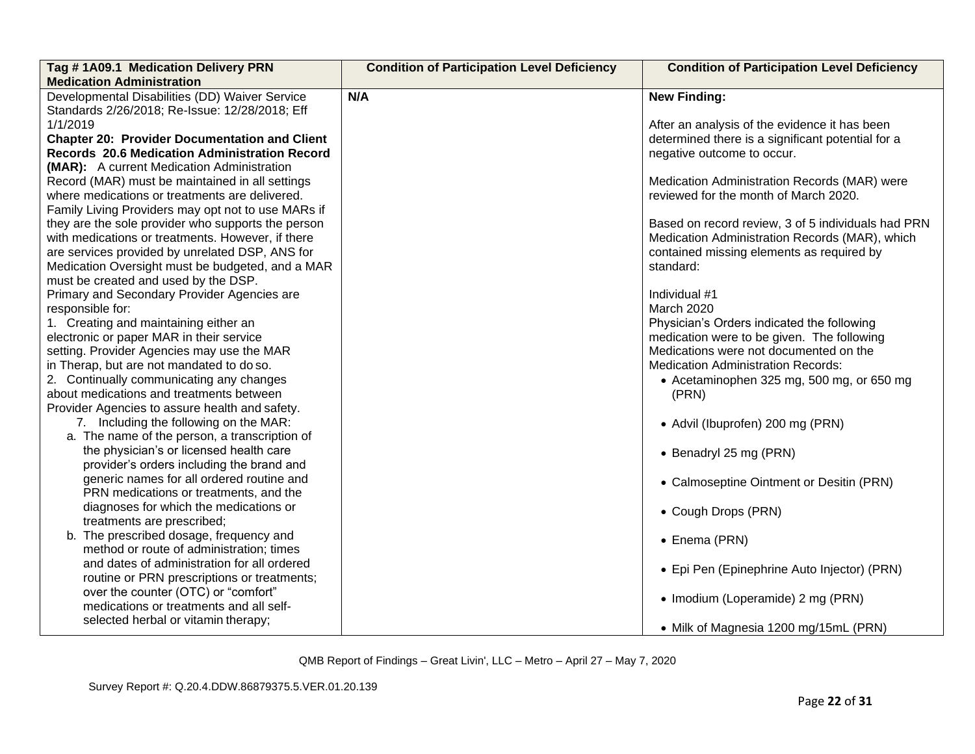| Tag #1A09.1 Medication Delivery PRN<br><b>Medication Administration</b> | <b>Condition of Participation Level Deficiency</b> | <b>Condition of Participation Level Deficiency</b> |  |
|-------------------------------------------------------------------------|----------------------------------------------------|----------------------------------------------------|--|
| Developmental Disabilities (DD) Waiver Service                          | N/A                                                | <b>New Finding:</b>                                |  |
| Standards 2/26/2018; Re-Issue: 12/28/2018; Eff                          |                                                    |                                                    |  |
| 1/1/2019                                                                |                                                    | After an analysis of the evidence it has been      |  |
| <b>Chapter 20: Provider Documentation and Client</b>                    |                                                    | determined there is a significant potential for a  |  |
| <b>Records 20.6 Medication Administration Record</b>                    |                                                    | negative outcome to occur.                         |  |
| (MAR): A current Medication Administration                              |                                                    |                                                    |  |
| Record (MAR) must be maintained in all settings                         |                                                    | Medication Administration Records (MAR) were       |  |
| where medications or treatments are delivered.                          |                                                    | reviewed for the month of March 2020.              |  |
| Family Living Providers may opt not to use MARs if                      |                                                    |                                                    |  |
| they are the sole provider who supports the person                      |                                                    | Based on record review, 3 of 5 individuals had PRN |  |
| with medications or treatments. However, if there                       |                                                    | Medication Administration Records (MAR), which     |  |
| are services provided by unrelated DSP, ANS for                         |                                                    | contained missing elements as required by          |  |
| Medication Oversight must be budgeted, and a MAR                        |                                                    | standard:                                          |  |
| must be created and used by the DSP.                                    |                                                    |                                                    |  |
| Primary and Secondary Provider Agencies are                             |                                                    | Individual #1                                      |  |
| responsible for:                                                        |                                                    | March 2020                                         |  |
| 1. Creating and maintaining either an                                   |                                                    | Physician's Orders indicated the following         |  |
| electronic or paper MAR in their service                                |                                                    | medication were to be given. The following         |  |
| setting. Provider Agencies may use the MAR                              |                                                    | Medications were not documented on the             |  |
| in Therap, but are not mandated to do so.                               |                                                    | <b>Medication Administration Records:</b>          |  |
| 2. Continually communicating any changes                                |                                                    | • Acetaminophen 325 mg, 500 mg, or 650 mg          |  |
| about medications and treatments between                                |                                                    | (PRN)                                              |  |
| Provider Agencies to assure health and safety.                          |                                                    |                                                    |  |
| 7. Including the following on the MAR:                                  |                                                    | • Advil (Ibuprofen) 200 mg (PRN)                   |  |
| a. The name of the person, a transcription of                           |                                                    |                                                    |  |
| the physician's or licensed health care                                 |                                                    | • Benadryl 25 mg (PRN)                             |  |
| provider's orders including the brand and                               |                                                    |                                                    |  |
| generic names for all ordered routine and                               |                                                    | • Calmoseptine Ointment or Desitin (PRN)           |  |
| PRN medications or treatments, and the                                  |                                                    |                                                    |  |
| diagnoses for which the medications or                                  |                                                    | • Cough Drops (PRN)                                |  |
| treatments are prescribed;                                              |                                                    |                                                    |  |
| b. The prescribed dosage, frequency and                                 |                                                    | • Enema (PRN)                                      |  |
| method or route of administration; times                                |                                                    |                                                    |  |
| and dates of administration for all ordered                             |                                                    | • Epi Pen (Epinephrine Auto Injector) (PRN)        |  |
| routine or PRN prescriptions or treatments;                             |                                                    |                                                    |  |
| over the counter (OTC) or "comfort"                                     |                                                    | • Imodium (Loperamide) 2 mg (PRN)                  |  |
| medications or treatments and all self-                                 |                                                    |                                                    |  |
| selected herbal or vitamin therapy;                                     |                                                    | • Milk of Magnesia 1200 mg/15mL (PRN)              |  |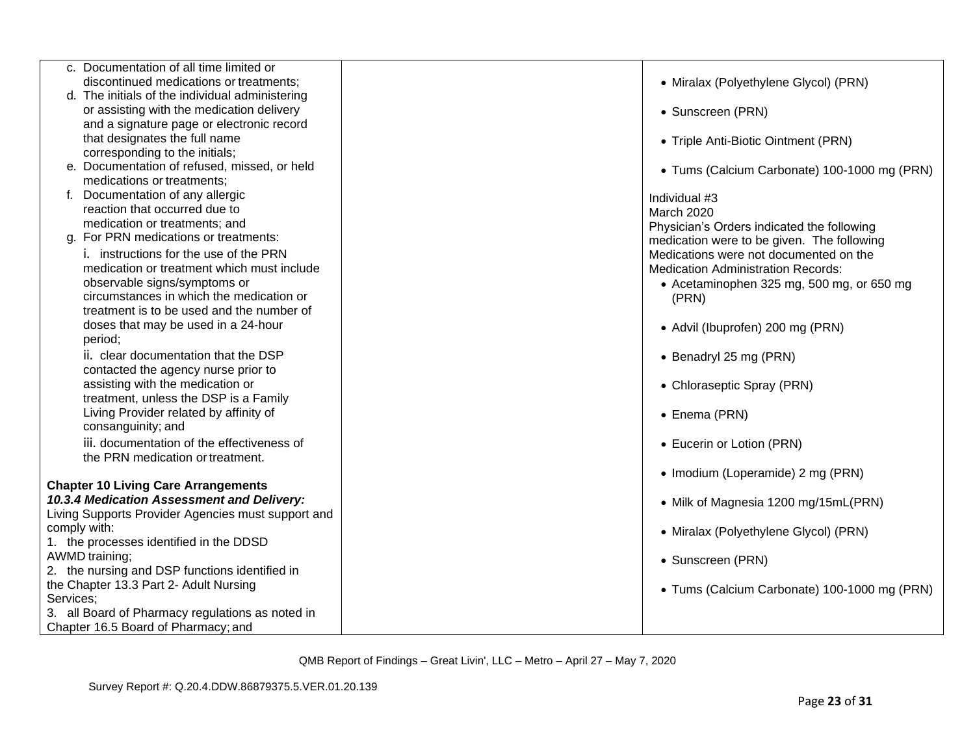| c. Documentation of all time limited or                                                 |                                              |
|-----------------------------------------------------------------------------------------|----------------------------------------------|
| discontinued medications or treatments;                                                 | • Miralax (Polyethylene Glycol) (PRN)        |
| d. The initials of the individual administering                                         |                                              |
| or assisting with the medication delivery                                               | • Sunscreen (PRN)                            |
| and a signature page or electronic record<br>that designates the full name              |                                              |
| corresponding to the initials;                                                          | • Triple Anti-Biotic Ointment (PRN)          |
| e. Documentation of refused, missed, or held                                            |                                              |
| medications or treatments;                                                              | • Tums (Calcium Carbonate) 100-1000 mg (PRN) |
| Documentation of any allergic                                                           | Individual #3                                |
| reaction that occurred due to                                                           | March 2020                                   |
| medication or treatments; and                                                           | Physician's Orders indicated the following   |
| g. For PRN medications or treatments:                                                   | medication were to be given. The following   |
| i. instructions for the use of the PRN                                                  | Medications were not documented on the       |
| medication or treatment which must include                                              | <b>Medication Administration Records:</b>    |
| observable signs/symptoms or                                                            | • Acetaminophen 325 mg, 500 mg, or 650 mg    |
| circumstances in which the medication or                                                | (PRN)                                        |
| treatment is to be used and the number of                                               |                                              |
| doses that may be used in a 24-hour                                                     | • Advil (Ibuprofen) 200 mg (PRN)             |
| period;                                                                                 |                                              |
| ii. clear documentation that the DSP                                                    | • Benadryl 25 mg (PRN)                       |
| contacted the agency nurse prior to                                                     |                                              |
| assisting with the medication or                                                        | • Chloraseptic Spray (PRN)                   |
| treatment, unless the DSP is a Family                                                   |                                              |
| Living Provider related by affinity of<br>consanguinity; and                            | • Enema (PRN)                                |
| iii. documentation of the effectiveness of                                              |                                              |
| the PRN medication or treatment.                                                        | • Eucerin or Lotion (PRN)                    |
|                                                                                         | • Imodium (Loperamide) 2 mg (PRN)            |
| <b>Chapter 10 Living Care Arrangements</b>                                              |                                              |
| 10.3.4 Medication Assessment and Delivery:                                              | • Milk of Magnesia 1200 mg/15mL(PRN)         |
| Living Supports Provider Agencies must support and                                      |                                              |
| comply with:                                                                            | • Miralax (Polyethylene Glycol) (PRN)        |
| 1. the processes identified in the DDSD                                                 |                                              |
| AWMD training;                                                                          | • Sunscreen (PRN)                            |
| 2. the nursing and DSP functions identified in                                          |                                              |
| the Chapter 13.3 Part 2- Adult Nursing                                                  | • Tums (Calcium Carbonate) 100-1000 mg (PRN) |
| Services;                                                                               |                                              |
| 3. all Board of Pharmacy regulations as noted in<br>Chapter 16.5 Board of Pharmacy; and |                                              |
|                                                                                         |                                              |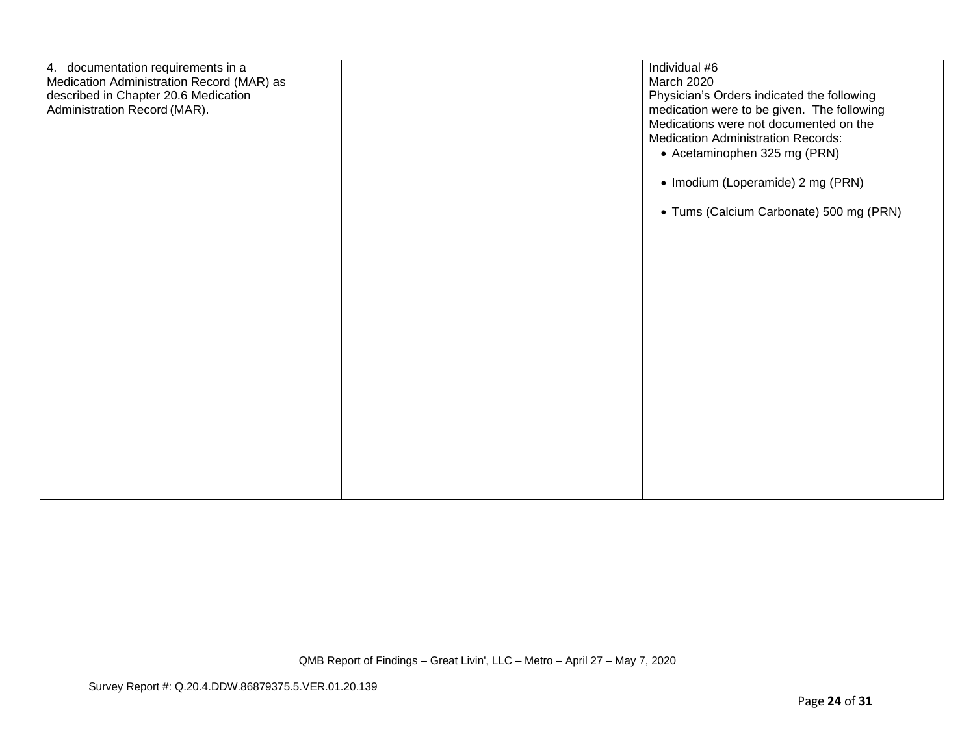| 4. documentation requirements in a<br>Medication Administration Record (MAR) as<br>described in Chapter 20.6 Medication<br>Administration Record (MAR). | Individual #6<br>March 2020<br>Physician's Orders indicated the following<br>medication were to be given. The following<br>Medications were not documented on the<br><b>Medication Administration Records:</b> |
|---------------------------------------------------------------------------------------------------------------------------------------------------------|----------------------------------------------------------------------------------------------------------------------------------------------------------------------------------------------------------------|
|                                                                                                                                                         | • Acetaminophen 325 mg (PRN)                                                                                                                                                                                   |
|                                                                                                                                                         | • Imodium (Loperamide) 2 mg (PRN)                                                                                                                                                                              |
|                                                                                                                                                         | • Tums (Calcium Carbonate) 500 mg (PRN)                                                                                                                                                                        |
|                                                                                                                                                         |                                                                                                                                                                                                                |
|                                                                                                                                                         |                                                                                                                                                                                                                |
|                                                                                                                                                         |                                                                                                                                                                                                                |
|                                                                                                                                                         |                                                                                                                                                                                                                |
|                                                                                                                                                         |                                                                                                                                                                                                                |
|                                                                                                                                                         |                                                                                                                                                                                                                |
|                                                                                                                                                         |                                                                                                                                                                                                                |
|                                                                                                                                                         |                                                                                                                                                                                                                |
|                                                                                                                                                         |                                                                                                                                                                                                                |
|                                                                                                                                                         |                                                                                                                                                                                                                |
|                                                                                                                                                         |                                                                                                                                                                                                                |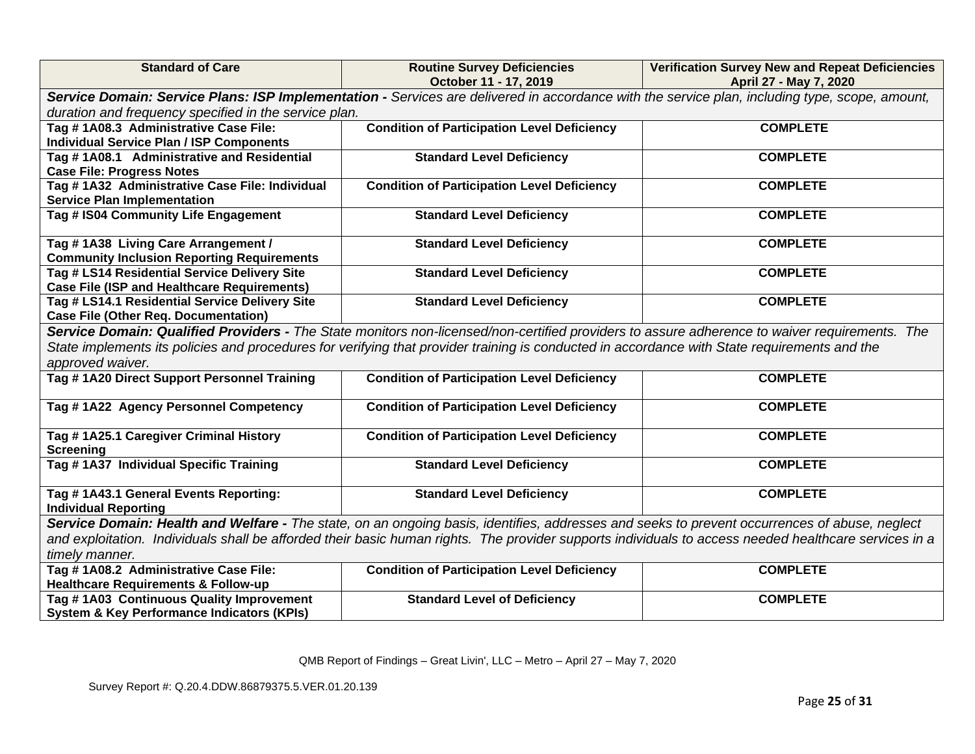| <b>Standard of Care</b>                                                                                                                        | <b>Routine Survey Deficiencies</b>                                                                                                                    | <b>Verification Survey New and Repeat Deficiencies</b> |  |
|------------------------------------------------------------------------------------------------------------------------------------------------|-------------------------------------------------------------------------------------------------------------------------------------------------------|--------------------------------------------------------|--|
|                                                                                                                                                | October 11 - 17, 2019                                                                                                                                 | April 27 - May 7, 2020                                 |  |
| Service Domain: Service Plans: ISP Implementation - Services are delivered in accordance with the service plan, including type, scope, amount, |                                                                                                                                                       |                                                        |  |
| duration and frequency specified in the service plan.                                                                                          |                                                                                                                                                       |                                                        |  |
| Tag #1A08.3 Administrative Case File:                                                                                                          | <b>Condition of Participation Level Deficiency</b>                                                                                                    | <b>COMPLETE</b>                                        |  |
| <b>Individual Service Plan / ISP Components</b>                                                                                                |                                                                                                                                                       |                                                        |  |
| Tag #1A08.1 Administrative and Residential                                                                                                     | <b>Standard Level Deficiency</b>                                                                                                                      | <b>COMPLETE</b>                                        |  |
| <b>Case File: Progress Notes</b>                                                                                                               |                                                                                                                                                       |                                                        |  |
| Tag #1A32 Administrative Case File: Individual                                                                                                 | <b>Condition of Participation Level Deficiency</b>                                                                                                    | <b>COMPLETE</b>                                        |  |
| <b>Service Plan Implementation</b>                                                                                                             |                                                                                                                                                       |                                                        |  |
| Tag # IS04 Community Life Engagement                                                                                                           | <b>Standard Level Deficiency</b>                                                                                                                      | <b>COMPLETE</b>                                        |  |
|                                                                                                                                                |                                                                                                                                                       |                                                        |  |
| Tag #1A38 Living Care Arrangement /                                                                                                            | <b>Standard Level Deficiency</b>                                                                                                                      | <b>COMPLETE</b>                                        |  |
| <b>Community Inclusion Reporting Requirements</b>                                                                                              |                                                                                                                                                       |                                                        |  |
| Tag # LS14 Residential Service Delivery Site                                                                                                   | <b>Standard Level Deficiency</b>                                                                                                                      | <b>COMPLETE</b>                                        |  |
| <b>Case File (ISP and Healthcare Requirements)</b>                                                                                             |                                                                                                                                                       |                                                        |  |
| Tag # LS14.1 Residential Service Delivery Site                                                                                                 | <b>Standard Level Deficiency</b>                                                                                                                      | <b>COMPLETE</b>                                        |  |
| <b>Case File (Other Req. Documentation)</b>                                                                                                    |                                                                                                                                                       |                                                        |  |
| Service Domain: Qualified Providers - The State monitors non-licensed/non-certified providers to assure adherence to waiver requirements. The  |                                                                                                                                                       |                                                        |  |
| State implements its policies and procedures for verifying that provider training is conducted in accordance with State requirements and the   |                                                                                                                                                       |                                                        |  |
| approved waiver.                                                                                                                               |                                                                                                                                                       |                                                        |  |
| Tag #1A20 Direct Support Personnel Training                                                                                                    | <b>Condition of Participation Level Deficiency</b>                                                                                                    | <b>COMPLETE</b>                                        |  |
|                                                                                                                                                |                                                                                                                                                       |                                                        |  |
| Tag #1A22 Agency Personnel Competency                                                                                                          | <b>Condition of Participation Level Deficiency</b>                                                                                                    | <b>COMPLETE</b>                                        |  |
| Tag #1A25.1 Caregiver Criminal History                                                                                                         | <b>Condition of Participation Level Deficiency</b>                                                                                                    | <b>COMPLETE</b>                                        |  |
| <b>Screening</b>                                                                                                                               |                                                                                                                                                       |                                                        |  |
| Tag #1A37 Individual Specific Training                                                                                                         | <b>Standard Level Deficiency</b>                                                                                                                      | <b>COMPLETE</b>                                        |  |
|                                                                                                                                                |                                                                                                                                                       |                                                        |  |
| Tag #1A43.1 General Events Reporting:                                                                                                          | <b>Standard Level Deficiency</b>                                                                                                                      | <b>COMPLETE</b>                                        |  |
| <b>Individual Reporting</b>                                                                                                                    |                                                                                                                                                       |                                                        |  |
|                                                                                                                                                | Service Domain: Health and Welfare - The state, on an ongoing basis, identifies, addresses and seeks to prevent occurrences of abuse, neglect         |                                                        |  |
|                                                                                                                                                | and exploitation. Individuals shall be afforded their basic human rights. The provider supports individuals to access needed healthcare services in a |                                                        |  |
| timely manner.                                                                                                                                 |                                                                                                                                                       |                                                        |  |
| Tag #1A08.2 Administrative Case File:                                                                                                          | <b>Condition of Participation Level Deficiency</b>                                                                                                    | <b>COMPLETE</b>                                        |  |
| <b>Healthcare Requirements &amp; Follow-up</b>                                                                                                 |                                                                                                                                                       |                                                        |  |
| Tag #1A03 Continuous Quality Improvement                                                                                                       | <b>Standard Level of Deficiency</b>                                                                                                                   | <b>COMPLETE</b>                                        |  |
| <b>System &amp; Key Performance Indicators (KPIs)</b>                                                                                          |                                                                                                                                                       |                                                        |  |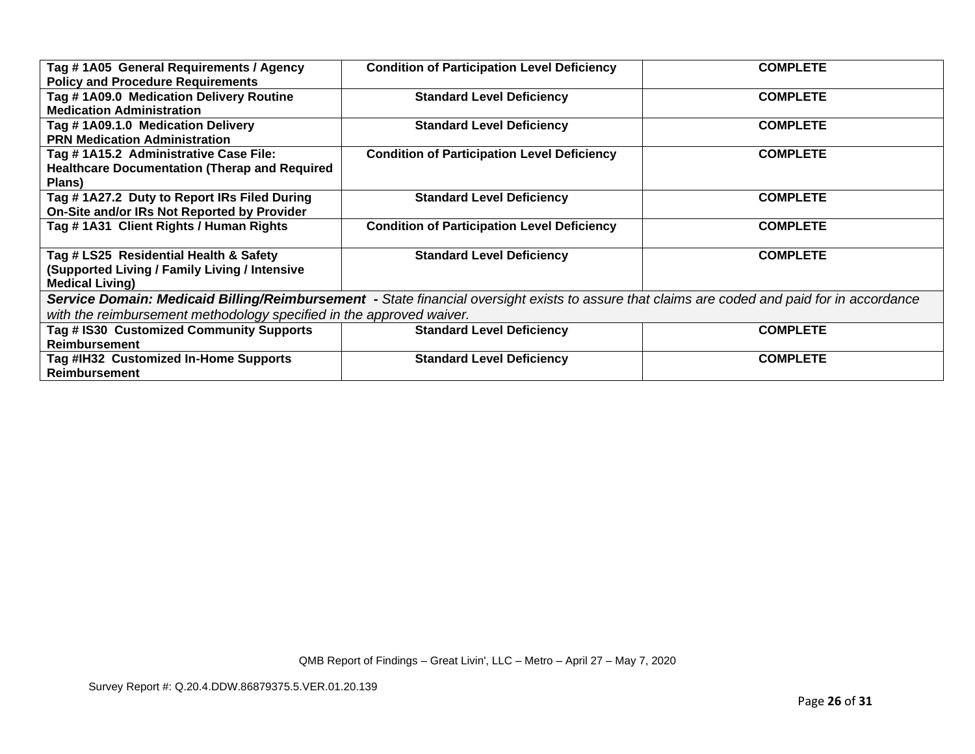| Tag #1A05 General Requirements / Agency<br><b>Policy and Procedure Requirements</b>                                     | <b>Condition of Participation Level Deficiency</b>                                                                                           | <b>COMPLETE</b> |
|-------------------------------------------------------------------------------------------------------------------------|----------------------------------------------------------------------------------------------------------------------------------------------|-----------------|
| Tag #1A09.0 Medication Delivery Routine<br><b>Medication Administration</b>                                             | <b>Standard Level Deficiency</b>                                                                                                             | <b>COMPLETE</b> |
| Tag #1A09.1.0 Medication Delivery<br><b>PRN Medication Administration</b>                                               | <b>Standard Level Deficiency</b>                                                                                                             | <b>COMPLETE</b> |
| Tag #1A15.2 Administrative Case File:<br><b>Healthcare Documentation (Therap and Required</b><br><b>Plans</b> )         | <b>Condition of Participation Level Deficiency</b>                                                                                           | <b>COMPLETE</b> |
| Tag #1A27.2 Duty to Report IRs Filed During<br>On-Site and/or IRs Not Reported by Provider                              | <b>Standard Level Deficiency</b>                                                                                                             | <b>COMPLETE</b> |
| Tag #1A31 Client Rights / Human Rights                                                                                  | <b>Condition of Participation Level Deficiency</b>                                                                                           | <b>COMPLETE</b> |
| Tag # LS25 Residential Health & Safety<br><b>Supported Living / Family Living / Intensive</b><br><b>Medical Living)</b> | <b>Standard Level Deficiency</b>                                                                                                             | <b>COMPLETE</b> |
|                                                                                                                         | Service Domain: Medicaid Billing/Reimbursement - State financial oversight exists to assure that claims are coded and paid for in accordance |                 |
| with the reimbursement methodology specified in the approved waiver.                                                    |                                                                                                                                              |                 |
| Tag # IS30 Customized Community Supports<br><b>Reimbursement</b>                                                        | <b>Standard Level Deficiency</b>                                                                                                             | <b>COMPLETE</b> |
| Tag #IH32 Customized In-Home Supports<br><b>Reimbursement</b>                                                           | <b>Standard Level Deficiency</b>                                                                                                             | <b>COMPLETE</b> |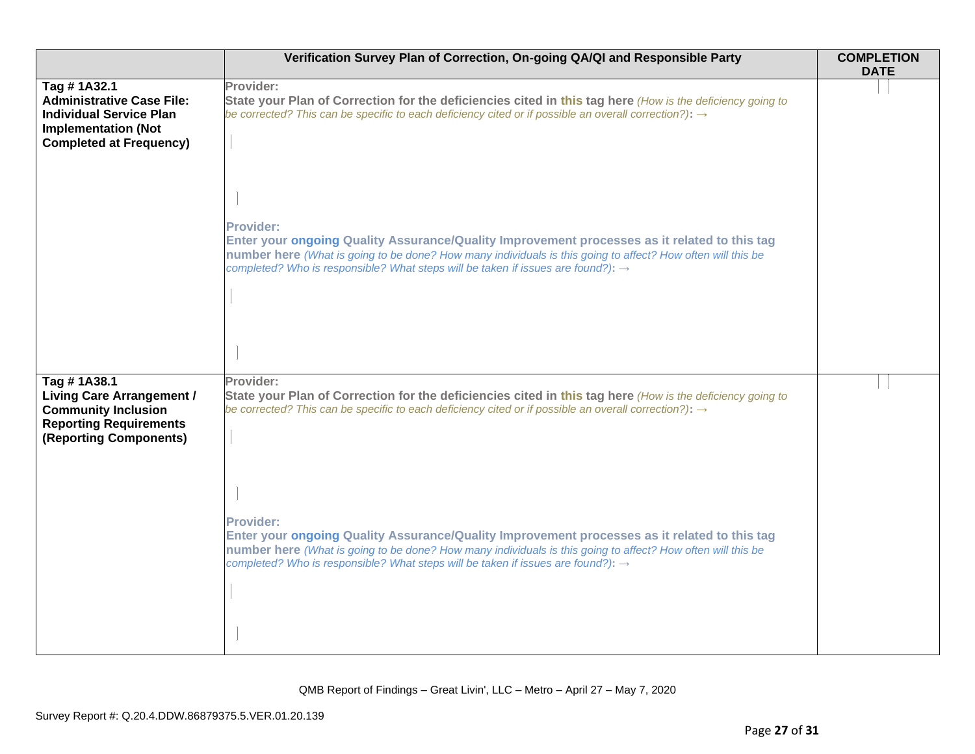|                                                                                                                                                   | Verification Survey Plan of Correction, On-going QA/QI and Responsible Party                                                                                                                                                                                                                                                    | <b>COMPLETION</b><br><b>DATE</b> |
|---------------------------------------------------------------------------------------------------------------------------------------------------|---------------------------------------------------------------------------------------------------------------------------------------------------------------------------------------------------------------------------------------------------------------------------------------------------------------------------------|----------------------------------|
| Tag #1A32.1<br><b>Administrative Case File:</b><br><b>Individual Service Plan</b><br><b>Implementation (Not</b><br><b>Completed at Frequency)</b> | Provider:<br>State your Plan of Correction for the deficiencies cited in this tag here (How is the deficiency going to<br>be corrected? This can be specific to each deficiency cited or if possible an overall correction?): $\rightarrow$                                                                                     |                                  |
|                                                                                                                                                   | <b>Provider:</b><br>Enter your ongoing Quality Assurance/Quality Improvement processes as it related to this tag<br>number here (What is going to be done? How many individuals is this going to affect? How often will this be<br>completed? Who is responsible? What steps will be taken if issues are found?): $\rightarrow$ |                                  |
| Tag #1A38.1<br><b>Living Care Arrangement /</b><br><b>Community Inclusion</b><br><b>Reporting Requirements</b><br>(Reporting Components)          | Provider:<br>State your Plan of Correction for the deficiencies cited in this tag here (How is the deficiency going to<br>be corrected? This can be specific to each deficiency cited or if possible an overall correction?): $\rightarrow$                                                                                     |                                  |
|                                                                                                                                                   | <b>Provider:</b><br>Enter your ongoing Quality Assurance/Quality Improvement processes as it related to this tag<br>number here (What is going to be done? How many individuals is this going to affect? How often will this be<br>completed? Who is responsible? What steps will be taken if issues are found?): $\rightarrow$ |                                  |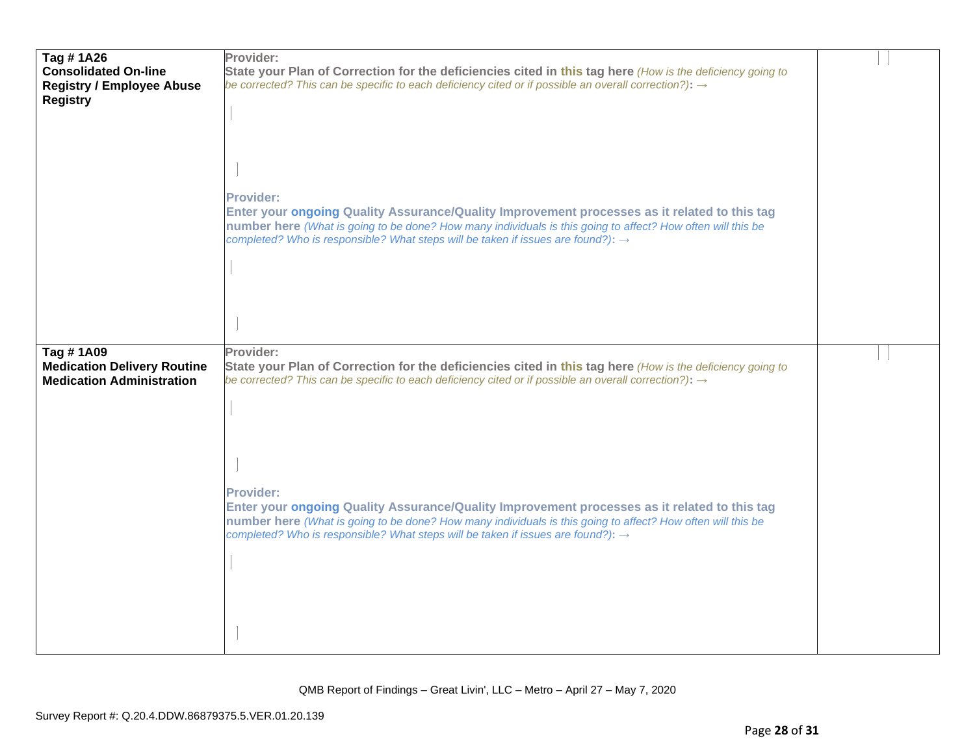| Tag #1A26<br><b>Consolidated On-line</b><br><b>Registry / Employee Abuse</b><br><b>Registry</b> | Provider:<br>State your Plan of Correction for the deficiencies cited in this tag here (How is the deficiency going to<br>be corrected? This can be specific to each deficiency cited or if possible an overall correction?): $\rightarrow$<br><b>Provider:</b><br>Enter your ongoing Quality Assurance/Quality Improvement processes as it related to this tag<br>number here (What is going to be done? How many individuals is this going to affect? How often will this be |  |
|-------------------------------------------------------------------------------------------------|--------------------------------------------------------------------------------------------------------------------------------------------------------------------------------------------------------------------------------------------------------------------------------------------------------------------------------------------------------------------------------------------------------------------------------------------------------------------------------|--|
| Tag #1A09<br><b>Medication Delivery Routine</b><br><b>Medication Administration</b>             | completed? Who is responsible? What steps will be taken if issues are found?): $\rightarrow$<br>Provider:<br>State your Plan of Correction for the deficiencies cited in this tag here (How is the deficiency going to<br>be corrected? This can be specific to each deficiency cited or if possible an overall correction?): $\rightarrow$                                                                                                                                    |  |
|                                                                                                 | <b>Provider:</b><br>Enter your ongoing Quality Assurance/Quality Improvement processes as it related to this tag<br>number here (What is going to be done? How many individuals is this going to affect? How often will this be<br>completed? Who is responsible? What steps will be taken if issues are found?): $\rightarrow$                                                                                                                                                |  |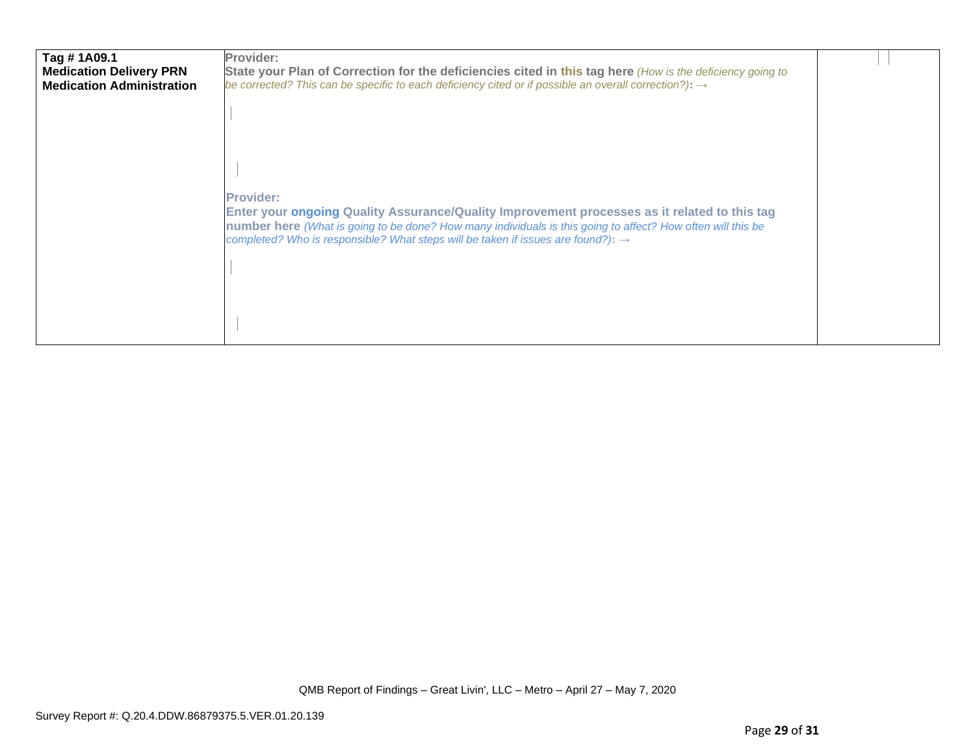| Tag #1A09.1<br><b>Medication Delivery PRN</b><br><b>Medication Administration</b> | Provider:<br>State your Plan of Correction for the deficiencies cited in this tag here (How is the deficiency going to<br>be corrected? This can be specific to each deficiency cited or if possible an overall correction?): $\rightarrow$                                                                                     |  |
|-----------------------------------------------------------------------------------|---------------------------------------------------------------------------------------------------------------------------------------------------------------------------------------------------------------------------------------------------------------------------------------------------------------------------------|--|
|                                                                                   |                                                                                                                                                                                                                                                                                                                                 |  |
|                                                                                   |                                                                                                                                                                                                                                                                                                                                 |  |
|                                                                                   | <b>Provider:</b><br>Enter your ongoing Quality Assurance/Quality Improvement processes as it related to this tag<br>number here (What is going to be done? How many individuals is this going to affect? How often will this be<br>completed? Who is responsible? What steps will be taken if issues are found?): $\rightarrow$ |  |
|                                                                                   |                                                                                                                                                                                                                                                                                                                                 |  |
|                                                                                   |                                                                                                                                                                                                                                                                                                                                 |  |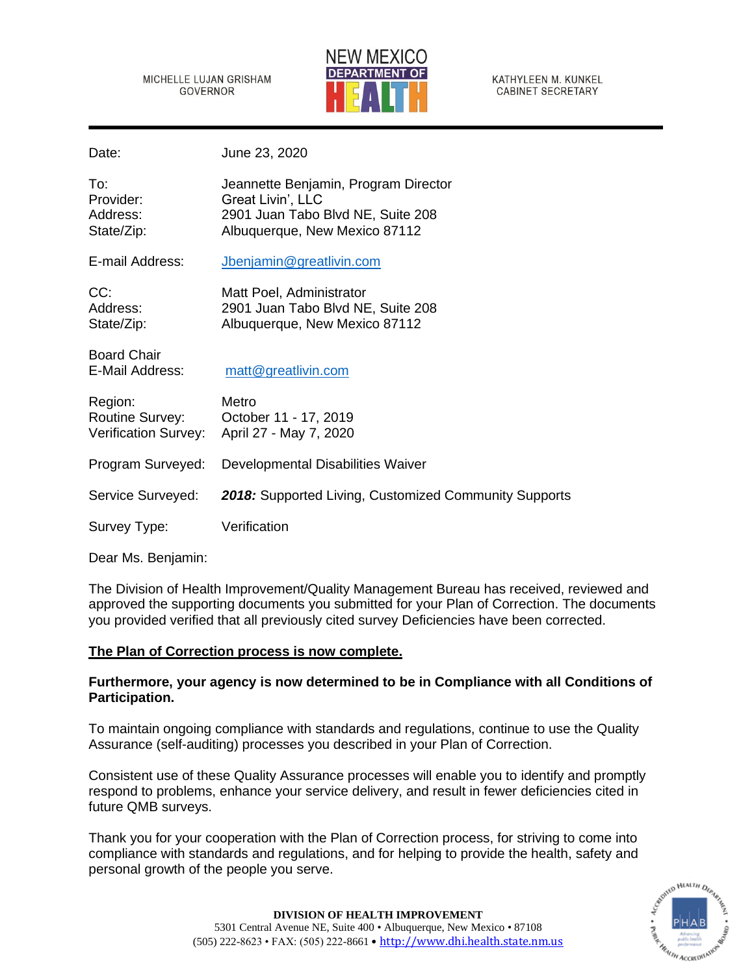MICHELLE LUJAN GRISHAM GOVERNOR



KATHYLEEN M. KUNKEL **CABINET SECRETARY** 

Date: June 23, 2020

| To:<br>Provider:<br>Address:<br>State/Zip:         | Jeannette Benjamin, Program Director<br>Great Livin', LLC<br>2901 Juan Tabo Blvd NE, Suite 208<br>Albuquerque, New Mexico 87112 |
|----------------------------------------------------|---------------------------------------------------------------------------------------------------------------------------------|
| E-mail Address:                                    | Jbenjamin@greatlivin.com                                                                                                        |
| CC:<br>Address:<br>State/Zip:                      | Matt Poel, Administrator<br>2901 Juan Tabo Blvd NE, Suite 208<br>Albuquerque, New Mexico 87112                                  |
| <b>Board Chair</b><br>E-Mail Address:              | matt@greatlivin.com                                                                                                             |
| Region:<br>Routine Survey:<br>Verification Survey: | Metro<br>October 11 - 17, 2019<br>April 27 - May 7, 2020                                                                        |
| Program Surveyed:                                  | Developmental Disabilities Waiver                                                                                               |
| Service Surveyed:                                  | 2018: Supported Living, Customized Community Supports                                                                           |
| Survey Type:                                       | Verification                                                                                                                    |

Dear Ms. Benjamin:

The Division of Health Improvement/Quality Management Bureau has received, reviewed and approved the supporting documents you submitted for your Plan of Correction. The documents you provided verified that all previously cited survey Deficiencies have been corrected.

# **The Plan of Correction process is now complete.**

# **Furthermore, your agency is now determined to be in Compliance with all Conditions of Participation.**

To maintain ongoing compliance with standards and regulations, continue to use the Quality Assurance (self-auditing) processes you described in your Plan of Correction.

Consistent use of these Quality Assurance processes will enable you to identify and promptly respond to problems, enhance your service delivery, and result in fewer deficiencies cited in future QMB surveys.

Thank you for your cooperation with the Plan of Correction process, for striving to come into compliance with standards and regulations, and for helping to provide the health, safety and personal growth of the people you serve.